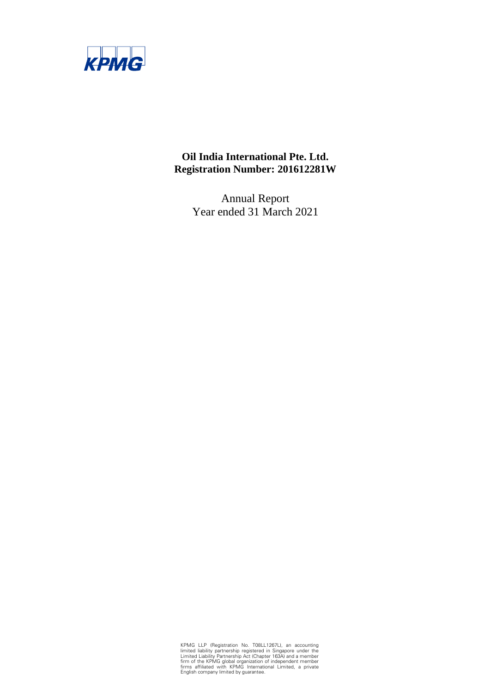

# **Oil India International Pte. Ltd. Registration Number: 201612281W**

Annual Report Year ended 31 March 2021

KPMG LLP (Registration No. T08LL1267L), an accounting limited liability partnership registered in Singapore under the Limited Liability Partnership Act (Chapter 163A) and a member firm of the KPMG global organization of in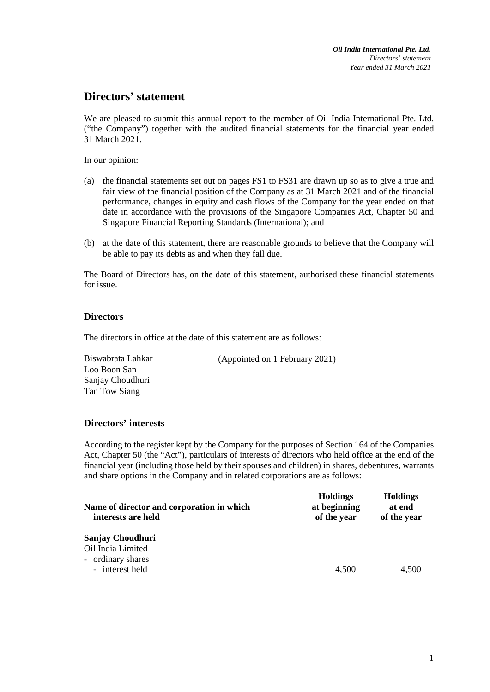# **Directors' statement**

We are pleased to submit this annual report to the member of Oil India International Pte. Ltd. ("the Company") together with the audited financial statements for the financial year ended 31 March 2021.

In our opinion:

- (a) the financial statements set out on pages FS1 to FS31 are drawn up so as to give a true and fair view of the financial position of the Company as at 31 March 2021 and of the financial performance, changes in equity and cash flows of the Company for the year ended on that date in accordance with the provisions of the Singapore Companies Act, Chapter 50 and Singapore Financial Reporting Standards (International); and
- (b) at the date of this statement, there are reasonable grounds to believe that the Company will be able to pay its debts as and when they fall due.

The Board of Directors has, on the date of this statement, authorised these financial statements for issue.

## **Directors**

The directors in office at the date of this statement are as follows:

Biswabrata Lahkar (Appointed on 1 February 2021) Loo Boon San Sanjay Choudhuri Tan Tow Siang

## **Directors' interests**

According to the register kept by the Company for the purposes of Section 164 of the Companies Act, Chapter 50 (the "Act"), particulars of interests of directors who held office at the end of the financial year (including those held by their spouses and children) in shares, debentures, warrants and share options in the Company and in related corporations are as follows:

| <b>Holdings</b><br>at beginning<br>of the year | <b>Holdings</b><br>at end<br>of the year |
|------------------------------------------------|------------------------------------------|
|                                                |                                          |
|                                                |                                          |
| 4.500                                          | 4.500                                    |
|                                                |                                          |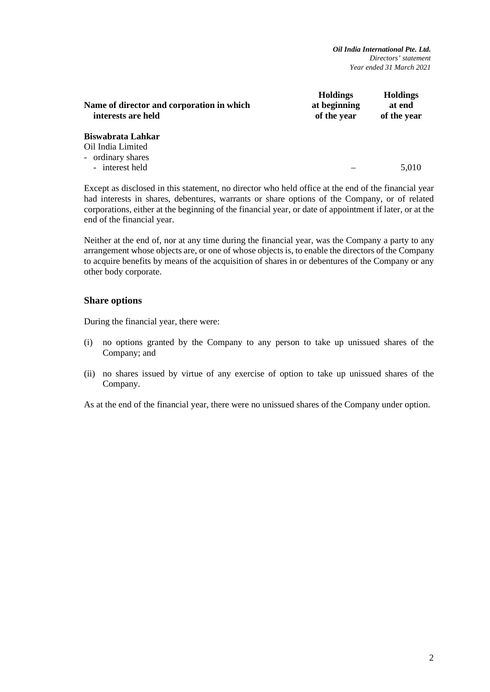| Name of director and corporation in which<br>interests are held | <b>Holdings</b><br>at beginning<br>of the year | <b>Holdings</b><br>at end<br>of the year |
|-----------------------------------------------------------------|------------------------------------------------|------------------------------------------|
| Biswabrata Lahkar                                               |                                                |                                          |
| Oil India Limited                                               |                                                |                                          |
| - ordinary shares                                               |                                                |                                          |
| - interest held                                                 |                                                | 5,010                                    |

Except as disclosed in this statement, no director who held office at the end of the financial year had interests in shares, debentures, warrants or share options of the Company, or of related corporations, either at the beginning of the financial year, or date of appointment if later, or at the end of the financial year.

Neither at the end of, nor at any time during the financial year, was the Company a party to any arrangement whose objects are, or one of whose objects is, to enable the directors of the Company to acquire benefits by means of the acquisition of shares in or debentures of the Company or any other body corporate.

## **Share options**

During the financial year, there were:

- (i) no options granted by the Company to any person to take up unissued shares of the Company; and
- (ii) no shares issued by virtue of any exercise of option to take up unissued shares of the Company.

As at the end of the financial year, there were no unissued shares of the Company under option.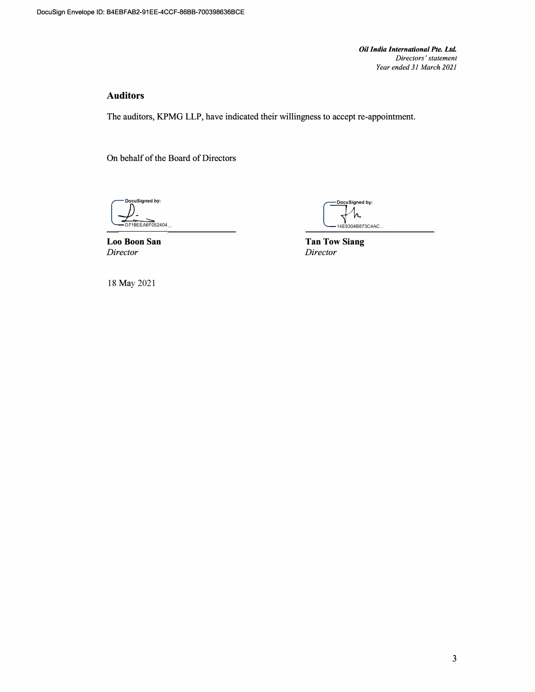*Oil India International Pte. Ltd. Directors' statement Year ended 31 March 2021* 

#### **Auditors**

The auditors, KPMG LLP, have indicated their willingness to accept re-appointment.

On behalf of the Board of Directors

**G DocuSigned by: D719EEA6F052404** 

**Loo Boon San**  *Director* 

**[** ocuSigned by:<br>**1:**<br>:E9304B873C4AC.

**Tan Tow Siang**  *Director* 

18 May 2021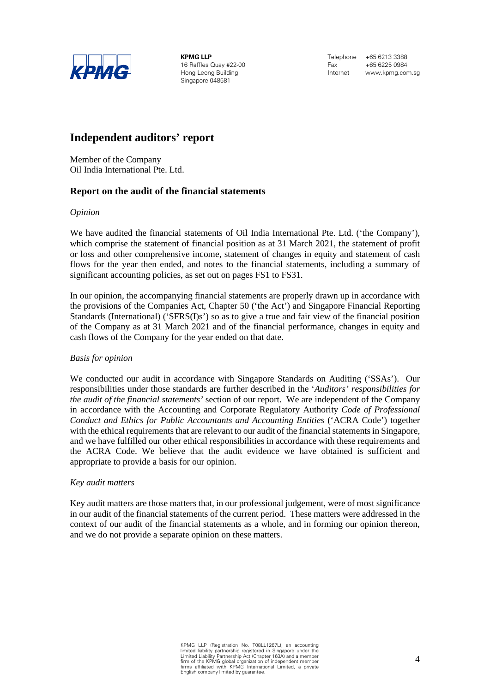

**KPMG LLP** 16 Raffles Quay #22-00 Hong Leong Building Singapore 048581

Telephone +65 6213 3388 Fax +65 6225 0984 Internet www.kpmg.com.sg

# **Independent auditors' report**

Member of the Company Oil India International Pte. Ltd.

## **Report on the audit of the financial statements**

#### *Opinion*

We have audited the financial statements of Oil India International Pte. Ltd. ('the Company'), which comprise the statement of financial position as at 31 March 2021, the statement of profit or loss and other comprehensive income, statement of changes in equity and statement of cash flows for the year then ended, and notes to the financial statements, including a summary of significant accounting policies, as set out on pages FS1 to FS31.

In our opinion, the accompanying financial statements are properly drawn up in accordance with the provisions of the Companies Act, Chapter 50 ('the Act') and Singapore Financial Reporting Standards (International) ('SFRS(I)s') so as to give a true and fair view of the financial position of the Company as at 31 March 2021 and of the financial performance, changes in equity and cash flows of the Company for the year ended on that date.

## *Basis for opinion*

We conducted our audit in accordance with Singapore Standards on Auditing ('SSAs'). Our responsibilities under those standards are further described in the '*Auditors' responsibilities for the audit of the financial statements'* section of our report. We are independent of the Company in accordance with the Accounting and Corporate Regulatory Authority *Code of Professional Conduct and Ethics for Public Accountants and Accounting Entities* ('ACRA Code') together with the ethical requirements that are relevant to our audit of the financial statements in Singapore, and we have fulfilled our other ethical responsibilities in accordance with these requirements and the ACRA Code. We believe that the audit evidence we have obtained is sufficient and appropriate to provide a basis for our opinion.

#### *Key audit matters*

Key audit matters are those matters that, in our professional judgement, were of most significance in our audit of the financial statements of the current period. These matters were addressed in the context of our audit of the financial statements as a whole, and in forming our opinion thereon, and we do not provide a separate opinion on these matters.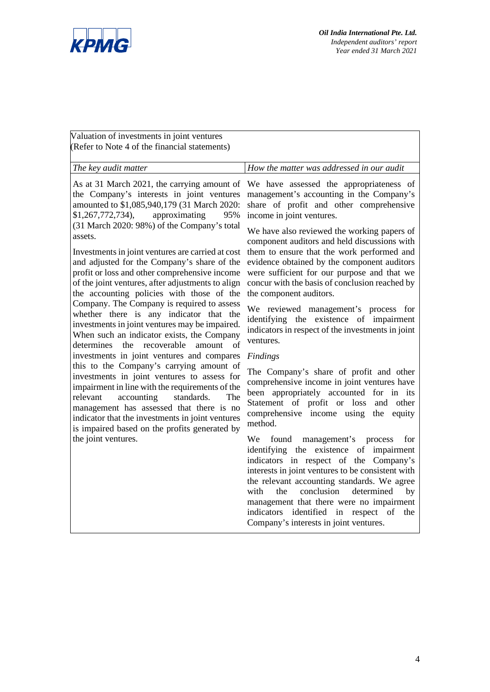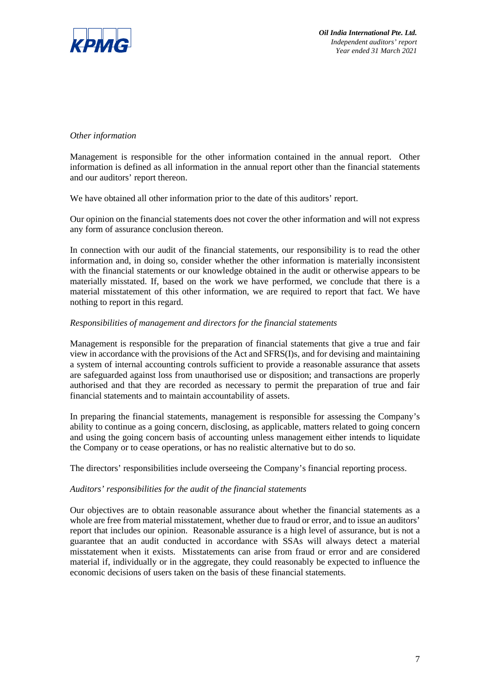

## *Other information*

Management is responsible for the other information contained in the annual report. Other information is defined as all information in the annual report other than the financial statements and our auditors' report thereon.

We have obtained all other information prior to the date of this auditors' report.

Our opinion on the financial statements does not cover the other information and will not express any form of assurance conclusion thereon.

In connection with our audit of the financial statements, our responsibility is to read the other information and, in doing so, consider whether the other information is materially inconsistent with the financial statements or our knowledge obtained in the audit or otherwise appears to be materially misstated. If, based on the work we have performed, we conclude that there is a material misstatement of this other information, we are required to report that fact. We have nothing to report in this regard.

#### *Responsibilities of management and directors for the financial statements*

Management is responsible for the preparation of financial statements that give a true and fair view in accordance with the provisions of the Act and SFRS(I)s, and for devising and maintaining a system of internal accounting controls sufficient to provide a reasonable assurance that assets are safeguarded against loss from unauthorised use or disposition; and transactions are properly authorised and that they are recorded as necessary to permit the preparation of true and fair financial statements and to maintain accountability of assets.

In preparing the financial statements, management is responsible for assessing the Company's ability to continue as a going concern, disclosing, as applicable, matters related to going concern and using the going concern basis of accounting unless management either intends to liquidate the Company or to cease operations, or has no realistic alternative but to do so.

The directors' responsibilities include overseeing the Company's financial reporting process.

#### *Auditors' responsibilities for the audit of the financial statements*

Our objectives are to obtain reasonable assurance about whether the financial statements as a whole are free from material misstatement, whether due to fraud or error, and to issue an auditors' report that includes our opinion. Reasonable assurance is a high level of assurance, but is not a guarantee that an audit conducted in accordance with SSAs will always detect a material misstatement when it exists. Misstatements can arise from fraud or error and are considered material if, individually or in the aggregate, they could reasonably be expected to influence the economic decisions of users taken on the basis of these financial statements.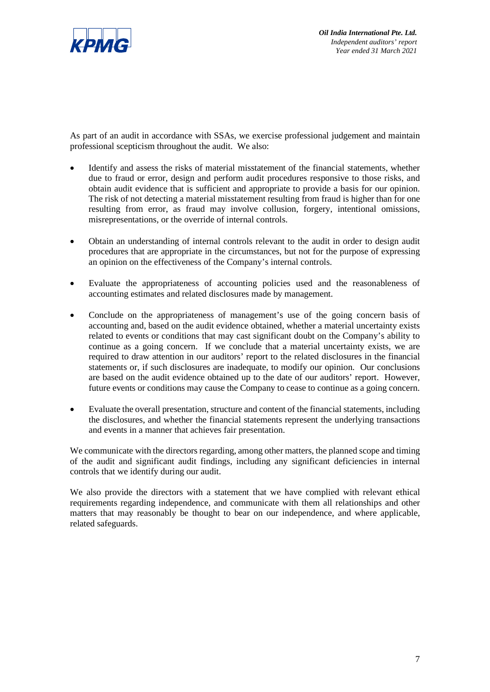

As part of an audit in accordance with SSAs, we exercise professional judgement and maintain professional scepticism throughout the audit. We also:

- Identify and assess the risks of material misstatement of the financial statements, whether due to fraud or error, design and perform audit procedures responsive to those risks, and obtain audit evidence that is sufficient and appropriate to provide a basis for our opinion. The risk of not detecting a material misstatement resulting from fraud is higher than for one resulting from error, as fraud may involve collusion, forgery, intentional omissions, misrepresentations, or the override of internal controls.
- Obtain an understanding of internal controls relevant to the audit in order to design audit procedures that are appropriate in the circumstances, but not for the purpose of expressing an opinion on the effectiveness of the Company's internal controls.
- Evaluate the appropriateness of accounting policies used and the reasonableness of accounting estimates and related disclosures made by management.
- Conclude on the appropriateness of management's use of the going concern basis of accounting and, based on the audit evidence obtained, whether a material uncertainty exists related to events or conditions that may cast significant doubt on the Company's ability to continue as a going concern. If we conclude that a material uncertainty exists, we are required to draw attention in our auditors' report to the related disclosures in the financial statements or, if such disclosures are inadequate, to modify our opinion. Our conclusions are based on the audit evidence obtained up to the date of our auditors' report. However, future events or conditions may cause the Company to cease to continue as a going concern.
- Evaluate the overall presentation, structure and content of the financial statements, including the disclosures, and whether the financial statements represent the underlying transactions and events in a manner that achieves fair presentation.

We communicate with the directors regarding, among other matters, the planned scope and timing of the audit and significant audit findings, including any significant deficiencies in internal controls that we identify during our audit.

We also provide the directors with a statement that we have complied with relevant ethical requirements regarding independence, and communicate with them all relationships and other matters that may reasonably be thought to bear on our independence, and where applicable, related safeguards.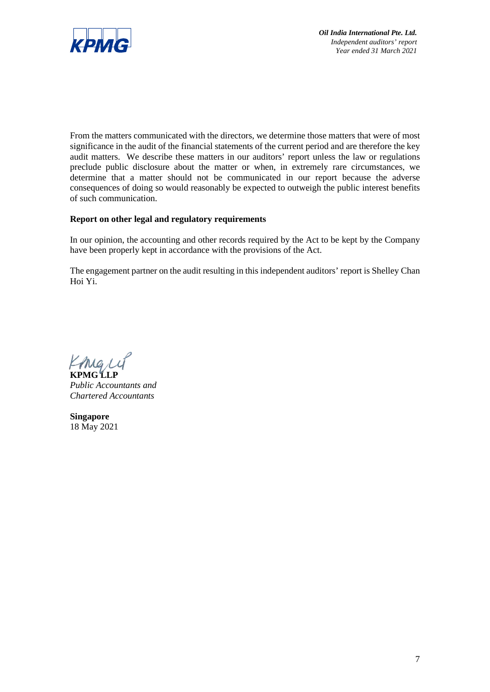

From the matters communicated with the directors, we determine those matters that were of most significance in the audit of the financial statements of the current period and are therefore the key audit matters. We describe these matters in our auditors' report unless the law or regulations preclude public disclosure about the matter or when, in extremely rare circumstances, we determine that a matter should not be communicated in our report because the adverse consequences of doing so would reasonably be expected to outweigh the public interest benefits of such communication.

#### **Report on other legal and regulatory requirements**

In our opinion, the accounting and other records required by the Act to be kept by the Company have been properly kept in accordance with the provisions of the Act.

The engagement partner on the audit resulting in this independent auditors' report is Shelley Chan Hoi Yi.

Kingry **KPMG LLP**

*Public Accountants and Chartered Accountants* 

**Singapore** 18 May 2021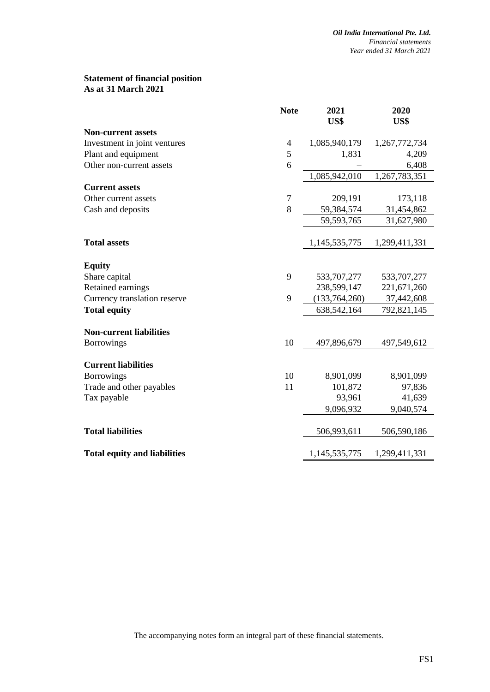## **Statement of financial position As at 31 March 2021**

|                                     | <b>Note</b>    | 2021            | 2020          |
|-------------------------------------|----------------|-----------------|---------------|
|                                     |                | US\$            | US\$          |
| <b>Non-current assets</b>           |                |                 |               |
| Investment in joint ventures        | $\overline{4}$ | 1,085,940,179   | 1,267,772,734 |
| Plant and equipment                 | 5              | 1,831           | 4,209         |
| Other non-current assets            | 6              |                 | 6,408         |
|                                     |                | 1,085,942,010   | 1,267,783,351 |
| <b>Current assets</b>               |                |                 |               |
| Other current assets                | 7              | 209,191         | 173,118       |
| Cash and deposits                   | 8              | 59,384,574      | 31,454,862    |
|                                     |                | 59,593,765      | 31,627,980    |
| <b>Total assets</b>                 |                | 1,145,535,775   | 1,299,411,331 |
| <b>Equity</b>                       |                |                 |               |
| Share capital                       | 9              | 533,707,277     | 533,707,277   |
| Retained earnings                   |                | 238,599,147     | 221,671,260   |
| Currency translation reserve        | 9              | (133, 764, 260) | 37,442,608    |
| <b>Total equity</b>                 |                | 638,542,164     | 792,821,145   |
| <b>Non-current liabilities</b>      |                |                 |               |
| <b>Borrowings</b>                   | 10             | 497,896,679     | 497,549,612   |
| <b>Current liabilities</b>          |                |                 |               |
| <b>Borrowings</b>                   | 10             | 8,901,099       | 8,901,099     |
| Trade and other payables            | 11             | 101,872         | 97,836        |
| Tax payable                         |                | 93,961          | 41,639        |
|                                     |                | 9,096,932       | 9,040,574     |
|                                     |                |                 |               |
| <b>Total liabilities</b>            |                | 506,993,611     | 506,590,186   |
| <b>Total equity and liabilities</b> |                | 1,145,535,775   | 1,299,411,331 |
|                                     |                |                 |               |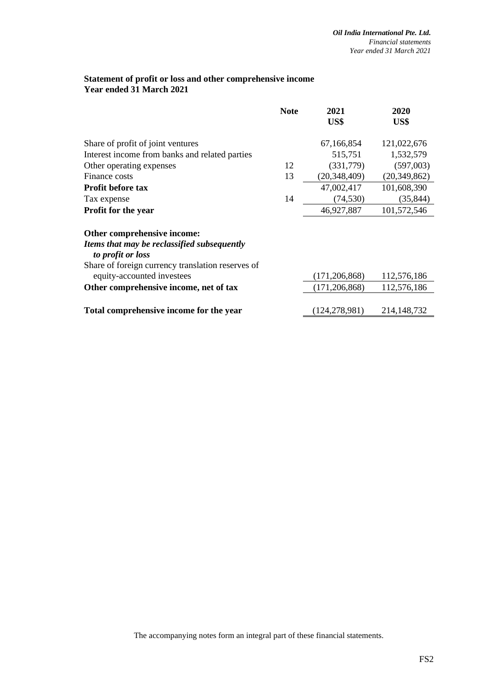## **Statement of profit or loss and other comprehensive income Year ended 31 March 2021**

|                                                                  | <b>Note</b> | 2021<br>US\$    | 2020<br>US\$   |
|------------------------------------------------------------------|-------------|-----------------|----------------|
| Share of profit of joint ventures                                |             | 67,166,854      | 121,022,676    |
| Interest income from banks and related parties                   |             | 515,751         | 1,532,579      |
| Other operating expenses                                         | 12          | (331,779)       | (597,003)      |
| Finance costs                                                    | 13          | (20, 348, 409)  | (20, 349, 862) |
| <b>Profit before tax</b>                                         |             | 47,002,417      | 101,608,390    |
| Tax expense                                                      | 14          | (74, 530)       | (35, 844)      |
| <b>Profit for the year</b>                                       |             | 46,927,887      | 101,572,546    |
| Other comprehensive income:                                      |             |                 |                |
| Items that may be reclassified subsequently<br>to profit or loss |             |                 |                |
| Share of foreign currency translation reserves of                |             |                 |                |
| equity-accounted investees                                       |             | (171, 206, 868) | 112,576,186    |
| Other comprehensive income, net of tax                           |             | (171, 206, 868) | 112,576,186    |
|                                                                  |             |                 |                |
| Total comprehensive income for the year                          |             | (124, 278, 981) | 214, 148, 732  |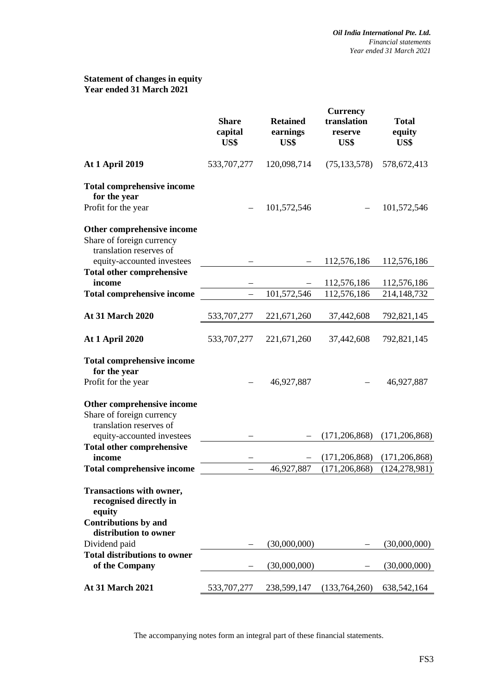## **Statement of changes in equity Year ended 31 March 2021**

|                                                                                    | <b>Share</b><br>capital<br>US\$ | <b>Retained</b><br>earnings<br>US\$ | <b>Currency</b><br>translation<br>reserve<br>US\$ | <b>Total</b><br>equity<br>US\$ |
|------------------------------------------------------------------------------------|---------------------------------|-------------------------------------|---------------------------------------------------|--------------------------------|
| <b>At 1 April 2019</b>                                                             | 533,707,277                     | 120,098,714                         | (75, 133, 578)                                    | 578, 672, 413                  |
| <b>Total comprehensive income</b><br>for the year                                  |                                 |                                     |                                                   |                                |
| Profit for the year                                                                |                                 | 101,572,546                         |                                                   | 101,572,546                    |
| Other comprehensive income<br>Share of foreign currency<br>translation reserves of |                                 |                                     |                                                   |                                |
| equity-accounted investees<br><b>Total other comprehensive</b>                     |                                 |                                     | 112,576,186                                       | 112,576,186                    |
| income                                                                             |                                 |                                     | 112,576,186                                       | 112,576,186                    |
| <b>Total comprehensive income</b>                                                  |                                 | 101,572,546                         | 112,576,186                                       | 214,148,732                    |
| <b>At 31 March 2020</b>                                                            | 533,707,277                     | 221,671,260                         | 37,442,608                                        | 792,821,145                    |
| <b>At 1 April 2020</b>                                                             | 533,707,277                     | 221,671,260                         | 37,442,608                                        | 792,821,145                    |
| <b>Total comprehensive income</b><br>for the year                                  |                                 |                                     |                                                   |                                |
| Profit for the year                                                                |                                 | 46,927,887                          |                                                   | 46,927,887                     |
| Other comprehensive income<br>Share of foreign currency<br>translation reserves of |                                 |                                     |                                                   |                                |
| equity-accounted investees                                                         |                                 |                                     | (171, 206, 868)                                   | (171, 206, 868)                |
| <b>Total other comprehensive</b><br>income                                         |                                 |                                     | (171, 206, 868)                                   | (171, 206, 868)                |
| <b>Total comprehensive income</b>                                                  |                                 | 46,927,887                          | (171, 206, 868)                                   | (124, 278, 981)                |
| <b>Transactions with owner,</b><br>recognised directly in<br>equity                |                                 |                                     |                                                   |                                |
| <b>Contributions by and</b><br>distribution to owner<br>Dividend paid              |                                 | (30,000,000)                        |                                                   | (30,000,000)                   |
| <b>Total distributions to owner</b><br>of the Company                              |                                 | (30,000,000)                        |                                                   | (30,000,000)                   |
| <b>At 31 March 2021</b>                                                            | 533,707,277                     | 238,599,147                         | (133,764,260)                                     | 638, 542, 164                  |
|                                                                                    |                                 |                                     |                                                   |                                |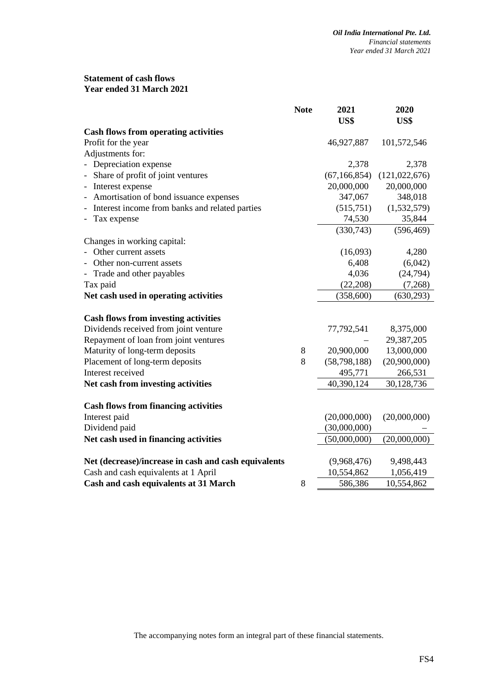#### **Statement of cash flows Year ended 31 March 2021**

|                                                                    | <b>Note</b> | 2021           | 2020            |
|--------------------------------------------------------------------|-------------|----------------|-----------------|
|                                                                    |             | US\$           | US\$            |
| <b>Cash flows from operating activities</b>                        |             |                |                 |
| Profit for the year                                                |             | 46,927,887     | 101,572,546     |
| Adjustments for:                                                   |             |                |                 |
| - Depreciation expense                                             |             | 2,378          | 2,378           |
| Share of profit of joint ventures                                  |             | (67, 166, 854) | (121, 022, 676) |
| Interest expense<br>$\overline{\phantom{a}}$                       |             | 20,000,000     | 20,000,000      |
| Amortisation of bond issuance expenses<br>$\overline{\phantom{0}}$ |             | 347,067        | 348,018         |
| Interest income from banks and related parties                     |             | (515, 751)     | (1,532,579)     |
| Tax expense                                                        |             | 74,530         | 35,844          |
|                                                                    |             | (330,743)      | (596, 469)      |
| Changes in working capital:                                        |             |                |                 |
| Other current assets                                               |             | (16,093)       | 4,280           |
| Other non-current assets                                           |             | 6,408          | (6,042)         |
| Trade and other payables                                           |             | 4,036          | (24, 794)       |
| Tax paid                                                           |             | (22, 208)      | (7,268)         |
| Net cash used in operating activities                              |             | (358,600)      | (630, 293)      |
|                                                                    |             |                |                 |
| <b>Cash flows from investing activities</b>                        |             |                |                 |
| Dividends received from joint venture                              |             | 77,792,541     | 8,375,000       |
| Repayment of loan from joint ventures                              |             |                | 29,387,205      |
| Maturity of long-term deposits                                     | $8\,$       | 20,900,000     | 13,000,000      |
| Placement of long-term deposits                                    | 8           | (58, 798, 188) | (20,900,000)    |
| Interest received                                                  |             | 495,771        | 266,531         |
| Net cash from investing activities                                 |             | 40,390,124     | 30,128,736      |
|                                                                    |             |                |                 |
| <b>Cash flows from financing activities</b>                        |             |                |                 |
| Interest paid                                                      |             | (20,000,000)   | (20,000,000)    |
| Dividend paid                                                      |             | (30,000,000)   |                 |
| Net cash used in financing activities                              |             | (50,000,000)   | (20,000,000)    |
|                                                                    |             |                |                 |
| Net (decrease)/increase in cash and cash equivalents               |             | (9,968,476)    | 9,498,443       |
| Cash and cash equivalents at 1 April                               |             | 10,554,862     | 1,056,419       |
| Cash and cash equivalents at 31 March                              | 8           | 586,386        | 10,554,862      |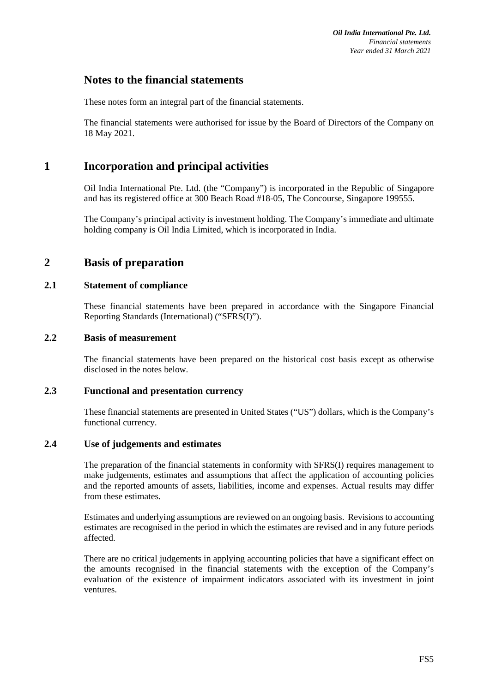# **Notes to the financial statements**

These notes form an integral part of the financial statements.

The financial statements were authorised for issue by the Board of Directors of the Company on 18 May 2021.

# **1 Incorporation and principal activities**

Oil India International Pte. Ltd. (the "Company") is incorporated in the Republic of Singapore and has its registered office at 300 Beach Road #18-05, The Concourse, Singapore 199555.

The Company's principal activity is investment holding. The Company's immediate and ultimate holding company is Oil India Limited, which is incorporated in India.

# **2 Basis of preparation**

## **2.1 Statement of compliance**

These financial statements have been prepared in accordance with the Singapore Financial Reporting Standards (International) ("SFRS(I)").

## **2.2 Basis of measurement**

The financial statements have been prepared on the historical cost basis except as otherwise disclosed in the notes below.

### **2.3 Functional and presentation currency**

These financial statements are presented in United States ("US") dollars, which is the Company's functional currency.

## **2.4 Use of judgements and estimates**

The preparation of the financial statements in conformity with SFRS(I) requires management to make judgements, estimates and assumptions that affect the application of accounting policies and the reported amounts of assets, liabilities, income and expenses. Actual results may differ from these estimates.

Estimates and underlying assumptions are reviewed on an ongoing basis. Revisions to accounting estimates are recognised in the period in which the estimates are revised and in any future periods affected.

There are no critical judgements in applying accounting policies that have a significant effect on the amounts recognised in the financial statements with the exception of the Company's evaluation of the existence of impairment indicators associated with its investment in joint ventures.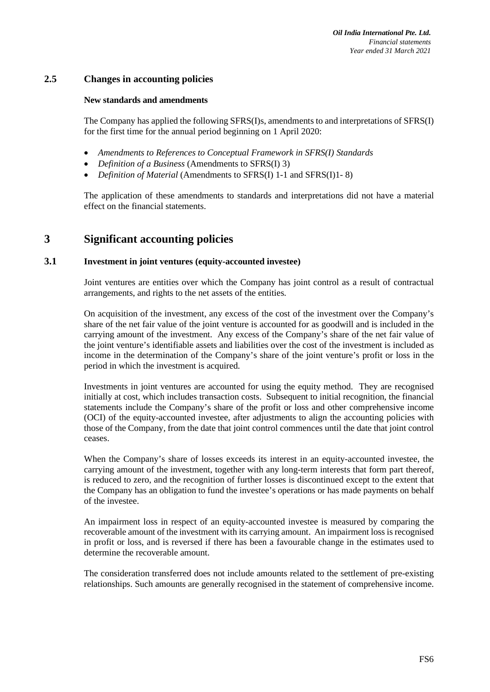## **2.5 Changes in accounting policies**

#### **New standards and amendments**

The Company has applied the following SFRS(I)s, amendments to and interpretations of SFRS(I) for the first time for the annual period beginning on 1 April 2020:

- *Amendments to References to Conceptual Framework in SFRS(I) Standards*
- *Definition of a Business* (Amendments to SFRS(I) 3)
- *Definition of Material* (Amendments to SFRS(I) 1-1 and SFRS(I)1- 8)

The application of these amendments to standards and interpretations did not have a material effect on the financial statements.

# **3 Significant accounting policies**

#### **3.1 Investment in joint ventures (equity-accounted investee)**

Joint ventures are entities over which the Company has joint control as a result of contractual arrangements, and rights to the net assets of the entities.

On acquisition of the investment, any excess of the cost of the investment over the Company's share of the net fair value of the joint venture is accounted for as goodwill and is included in the carrying amount of the investment. Any excess of the Company's share of the net fair value of the joint venture's identifiable assets and liabilities over the cost of the investment is included as income in the determination of the Company's share of the joint venture's profit or loss in the period in which the investment is acquired.

Investments in joint ventures are accounted for using the equity method. They are recognised initially at cost, which includes transaction costs. Subsequent to initial recognition, the financial statements include the Company's share of the profit or loss and other comprehensive income (OCI) of the equity-accounted investee, after adjustments to align the accounting policies with those of the Company, from the date that joint control commences until the date that joint control ceases.

When the Company's share of losses exceeds its interest in an equity-accounted investee, the carrying amount of the investment, together with any long-term interests that form part thereof, is reduced to zero, and the recognition of further losses is discontinued except to the extent that the Company has an obligation to fund the investee's operations or has made payments on behalf of the investee.

An impairment loss in respect of an equity-accounted investee is measured by comparing the recoverable amount of the investment with its carrying amount. An impairment loss is recognised in profit or loss, and is reversed if there has been a favourable change in the estimates used to determine the recoverable amount.

The consideration transferred does not include amounts related to the settlement of pre-existing relationships. Such amounts are generally recognised in the statement of comprehensive income.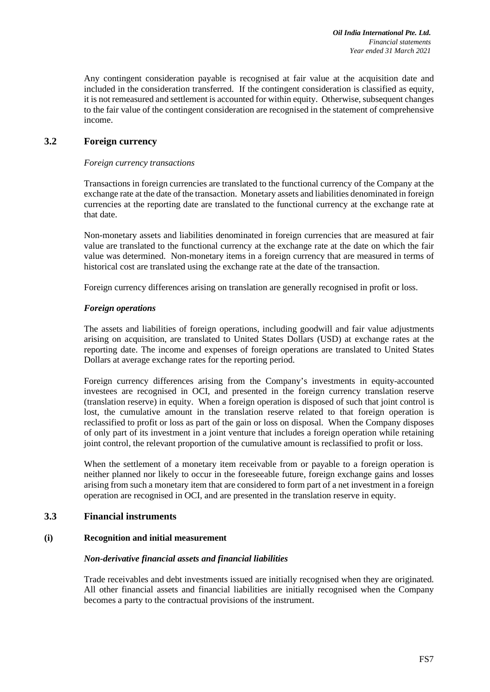Any contingent consideration payable is recognised at fair value at the acquisition date and included in the consideration transferred. If the contingent consideration is classified as equity, it is not remeasured and settlement is accounted for within equity. Otherwise, subsequent changes to the fair value of the contingent consideration are recognised in the statement of comprehensive income.

## **3.2 Foreign currency**

#### *Foreign currency transactions*

Transactions in foreign currencies are translated to the functional currency of the Company at the exchange rate at the date of the transaction. Monetary assets and liabilities denominated in foreign currencies at the reporting date are translated to the functional currency at the exchange rate at that date.

Non-monetary assets and liabilities denominated in foreign currencies that are measured at fair value are translated to the functional currency at the exchange rate at the date on which the fair value was determined. Non-monetary items in a foreign currency that are measured in terms of historical cost are translated using the exchange rate at the date of the transaction.

Foreign currency differences arising on translation are generally recognised in profit or loss.

#### *Foreign operations*

The assets and liabilities of foreign operations, including goodwill and fair value adjustments arising on acquisition, are translated to United States Dollars (USD) at exchange rates at the reporting date. The income and expenses of foreign operations are translated to United States Dollars at average exchange rates for the reporting period.

Foreign currency differences arising from the Company's investments in equity-accounted investees are recognised in OCI, and presented in the foreign currency translation reserve (translation reserve) in equity. When a foreign operation is disposed of such that joint control is lost, the cumulative amount in the translation reserve related to that foreign operation is reclassified to profit or loss as part of the gain or loss on disposal. When the Company disposes of only part of its investment in a joint venture that includes a foreign operation while retaining joint control, the relevant proportion of the cumulative amount is reclassified to profit or loss.

When the settlement of a monetary item receivable from or payable to a foreign operation is neither planned nor likely to occur in the foreseeable future, foreign exchange gains and losses arising from such a monetary item that are considered to form part of a net investment in a foreign operation are recognised in OCI, and are presented in the translation reserve in equity.

## **3.3 Financial instruments**

## **(i) Recognition and initial measurement**

#### *Non-derivative financial assets and financial liabilities*

Trade receivables and debt investments issued are initially recognised when they are originated. All other financial assets and financial liabilities are initially recognised when the Company becomes a party to the contractual provisions of the instrument.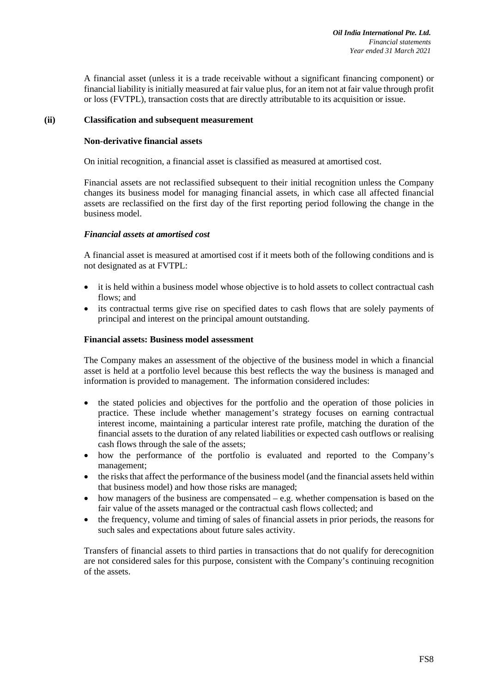A financial asset (unless it is a trade receivable without a significant financing component) or financial liability is initially measured at fair value plus, for an item not at fair value through profit or loss (FVTPL), transaction costs that are directly attributable to its acquisition or issue.

#### **(ii) Classification and subsequent measurement**

#### **Non-derivative financial assets**

On initial recognition, a financial asset is classified as measured at amortised cost.

Financial assets are not reclassified subsequent to their initial recognition unless the Company changes its business model for managing financial assets, in which case all affected financial assets are reclassified on the first day of the first reporting period following the change in the business model.

#### *Financial assets at amortised cost*

A financial asset is measured at amortised cost if it meets both of the following conditions and is not designated as at FVTPL:

- it is held within a business model whose objective is to hold assets to collect contractual cash flows; and
- its contractual terms give rise on specified dates to cash flows that are solely payments of principal and interest on the principal amount outstanding.

#### **Financial assets: Business model assessment**

The Company makes an assessment of the objective of the business model in which a financial asset is held at a portfolio level because this best reflects the way the business is managed and information is provided to management. The information considered includes:

- the stated policies and objectives for the portfolio and the operation of those policies in practice. These include whether management's strategy focuses on earning contractual interest income, maintaining a particular interest rate profile, matching the duration of the financial assets to the duration of any related liabilities or expected cash outflows or realising cash flows through the sale of the assets;
- how the performance of the portfolio is evaluated and reported to the Company's management;
- the risks that affect the performance of the business model (and the financial assets held within that business model) and how those risks are managed;
- how managers of the business are compensated  $-e.g.$  whether compensation is based on the fair value of the assets managed or the contractual cash flows collected; and
- the frequency, volume and timing of sales of financial assets in prior periods, the reasons for such sales and expectations about future sales activity.

Transfers of financial assets to third parties in transactions that do not qualify for derecognition are not considered sales for this purpose, consistent with the Company's continuing recognition of the assets.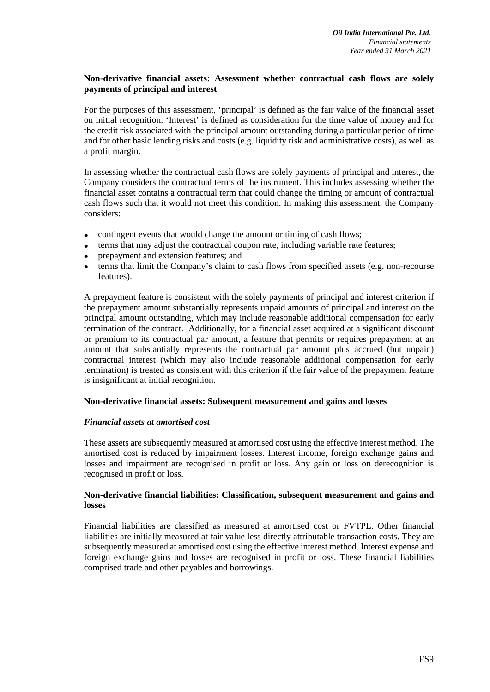#### **Non-derivative financial assets: Assessment whether contractual cash flows are solely payments of principal and interest**

For the purposes of this assessment, 'principal' is defined as the fair value of the financial asset on initial recognition. 'Interest' is defined as consideration for the time value of money and for the credit risk associated with the principal amount outstanding during a particular period of time and for other basic lending risks and costs (e.g. liquidity risk and administrative costs), as well as a profit margin.

In assessing whether the contractual cash flows are solely payments of principal and interest, the Company considers the contractual terms of the instrument. This includes assessing whether the financial asset contains a contractual term that could change the timing or amount of contractual cash flows such that it would not meet this condition. In making this assessment, the Company considers:

- contingent events that would change the amount or timing of cash flows;
- terms that may adjust the contractual coupon rate, including variable rate features;
- prepayment and extension features; and
- terms that limit the Company's claim to cash flows from specified assets (e.g. non-recourse features).

A prepayment feature is consistent with the solely payments of principal and interest criterion if the prepayment amount substantially represents unpaid amounts of principal and interest on the principal amount outstanding, which may include reasonable additional compensation for early termination of the contract. Additionally, for a financial asset acquired at a significant discount or premium to its contractual par amount, a feature that permits or requires prepayment at an amount that substantially represents the contractual par amount plus accrued (but unpaid) contractual interest (which may also include reasonable additional compensation for early termination) is treated as consistent with this criterion if the fair value of the prepayment feature is insignificant at initial recognition.

#### **Non-derivative financial assets: Subsequent measurement and gains and losses**

#### *Financial assets at amortised cost*

These assets are subsequently measured at amortised cost using the effective interest method. The amortised cost is reduced by impairment losses. Interest income, foreign exchange gains and losses and impairment are recognised in profit or loss. Any gain or loss on derecognition is recognised in profit or loss.

#### **Non-derivative financial liabilities: Classification, subsequent measurement and gains and losses**

Financial liabilities are classified as measured at amortised cost or FVTPL. Other financial liabilities are initially measured at fair value less directly attributable transaction costs. They are subsequently measured at amortised cost using the effective interest method. Interest expense and foreign exchange gains and losses are recognised in profit or loss. These financial liabilities comprised trade and other payables and borrowings.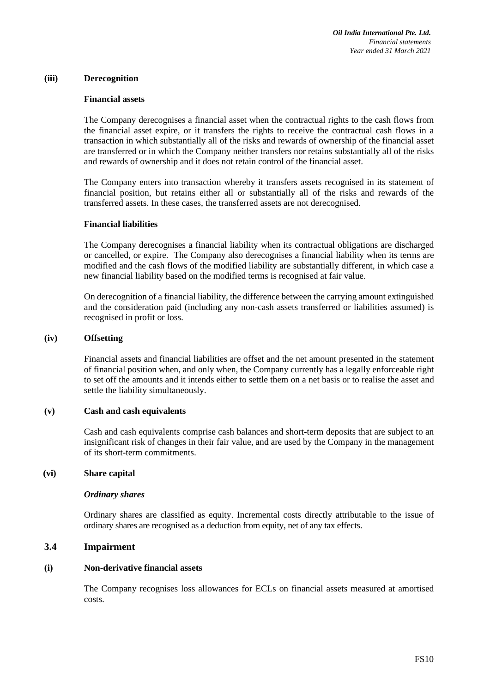#### **(iii) Derecognition**

#### **Financial assets**

The Company derecognises a financial asset when the contractual rights to the cash flows from the financial asset expire, or it transfers the rights to receive the contractual cash flows in a transaction in which substantially all of the risks and rewards of ownership of the financial asset are transferred or in which the Company neither transfers nor retains substantially all of the risks and rewards of ownership and it does not retain control of the financial asset.

The Company enters into transaction whereby it transfers assets recognised in its statement of financial position, but retains either all or substantially all of the risks and rewards of the transferred assets. In these cases, the transferred assets are not derecognised.

#### **Financial liabilities**

The Company derecognises a financial liability when its contractual obligations are discharged or cancelled, or expire. The Company also derecognises a financial liability when its terms are modified and the cash flows of the modified liability are substantially different, in which case a new financial liability based on the modified terms is recognised at fair value.

On derecognition of a financial liability, the difference between the carrying amount extinguished and the consideration paid (including any non-cash assets transferred or liabilities assumed) is recognised in profit or loss.

#### **(iv) Offsetting**

Financial assets and financial liabilities are offset and the net amount presented in the statement of financial position when, and only when, the Company currently has a legally enforceable right to set off the amounts and it intends either to settle them on a net basis or to realise the asset and settle the liability simultaneously.

#### **(v) Cash and cash equivalents**

Cash and cash equivalents comprise cash balances and short-term deposits that are subject to an insignificant risk of changes in their fair value, and are used by the Company in the management of its short-term commitments.

#### **(vi) Share capital**

#### *Ordinary shares*

Ordinary shares are classified as equity. Incremental costs directly attributable to the issue of ordinary shares are recognised as a deduction from equity, net of any tax effects.

#### **3.4 Impairment**

#### **(i) Non-derivative financial assets**

The Company recognises loss allowances for ECLs on financial assets measured at amortised costs.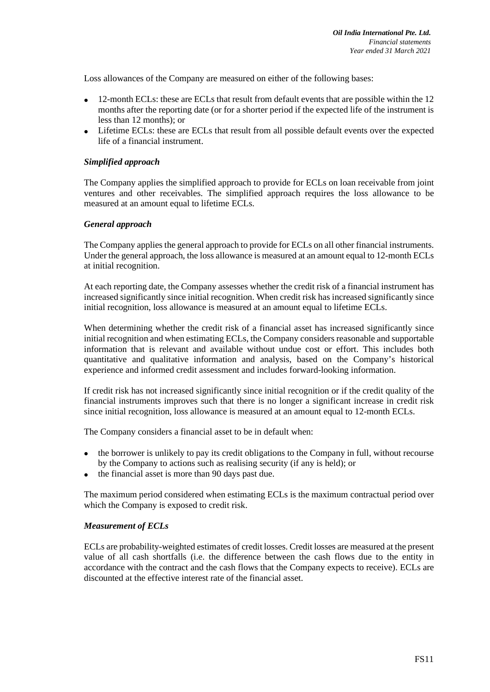Loss allowances of the Company are measured on either of the following bases:

- 12-month ECLs: these are ECLs that result from default events that are possible within the 12 months after the reporting date (or for a shorter period if the expected life of the instrument is less than 12 months); or
- Lifetime ECLs: these are ECLs that result from all possible default events over the expected life of a financial instrument.

#### *Simplified approach*

The Company applies the simplified approach to provide for ECLs on loan receivable from joint ventures and other receivables. The simplified approach requires the loss allowance to be measured at an amount equal to lifetime ECLs.

#### *General approach*

The Company applies the general approach to provide for ECLs on all other financial instruments. Under the general approach, the loss allowance is measured at an amount equal to 12-month ECLs at initial recognition.

At each reporting date, the Company assesses whether the credit risk of a financial instrument has increased significantly since initial recognition. When credit risk has increased significantly since initial recognition, loss allowance is measured at an amount equal to lifetime ECLs.

When determining whether the credit risk of a financial asset has increased significantly since initial recognition and when estimating ECLs, the Company considers reasonable and supportable information that is relevant and available without undue cost or effort. This includes both quantitative and qualitative information and analysis, based on the Company's historical experience and informed credit assessment and includes forward-looking information.

If credit risk has not increased significantly since initial recognition or if the credit quality of the financial instruments improves such that there is no longer a significant increase in credit risk since initial recognition, loss allowance is measured at an amount equal to 12-month ECLs.

The Company considers a financial asset to be in default when:

- the borrower is unlikely to pay its credit obligations to the Company in full, without recourse by the Company to actions such as realising security (if any is held); or
- the financial asset is more than 90 days past due.

The maximum period considered when estimating ECLs is the maximum contractual period over which the Company is exposed to credit risk.

#### *Measurement of ECLs*

ECLs are probability-weighted estimates of credit losses. Credit losses are measured at the present value of all cash shortfalls (i.e. the difference between the cash flows due to the entity in accordance with the contract and the cash flows that the Company expects to receive). ECLs are discounted at the effective interest rate of the financial asset.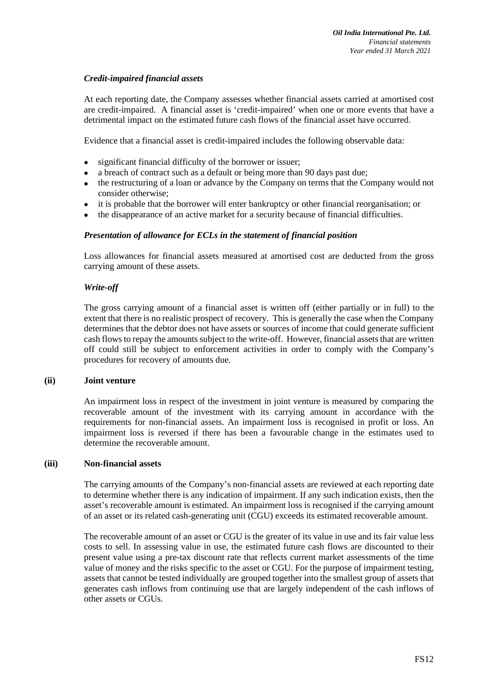#### *Credit-impaired financial assets*

At each reporting date, the Company assesses whether financial assets carried at amortised cost are credit-impaired. A financial asset is 'credit-impaired' when one or more events that have a detrimental impact on the estimated future cash flows of the financial asset have occurred.

Evidence that a financial asset is credit-impaired includes the following observable data:

- significant financial difficulty of the borrower or issuer;
- a breach of contract such as a default or being more than 90 days past due;
- the restructuring of a loan or advance by the Company on terms that the Company would not consider otherwise;
- it is probable that the borrower will enter bankruptcy or other financial reorganisation; or
- the disappearance of an active market for a security because of financial difficulties.

#### *Presentation of allowance for ECLs in the statement of financial position*

Loss allowances for financial assets measured at amortised cost are deducted from the gross carrying amount of these assets.

#### *Write-off*

The gross carrying amount of a financial asset is written off (either partially or in full) to the extent that there is no realistic prospect of recovery. This is generally the case when the Company determines that the debtor does not have assets or sources of income that could generate sufficient cash flows to repay the amounts subject to the write-off. However, financial assets that are written off could still be subject to enforcement activities in order to comply with the Company's procedures for recovery of amounts due.

#### **(ii) Joint venture**

An impairment loss in respect of the investment in joint venture is measured by comparing the recoverable amount of the investment with its carrying amount in accordance with the requirements for non-financial assets. An impairment loss is recognised in profit or loss. An impairment loss is reversed if there has been a favourable change in the estimates used to determine the recoverable amount.

#### **(iii) Non-financial assets**

The carrying amounts of the Company's non-financial assets are reviewed at each reporting date to determine whether there is any indication of impairment. If any such indication exists, then the asset's recoverable amount is estimated. An impairment loss is recognised if the carrying amount of an asset or its related cash-generating unit (CGU) exceeds its estimated recoverable amount.

The recoverable amount of an asset or CGU is the greater of its value in use and its fair value less costs to sell. In assessing value in use, the estimated future cash flows are discounted to their present value using a pre-tax discount rate that reflects current market assessments of the time value of money and the risks specific to the asset or CGU. For the purpose of impairment testing, assets that cannot be tested individually are grouped together into the smallest group of assets that generates cash inflows from continuing use that are largely independent of the cash inflows of other assets or CGUs.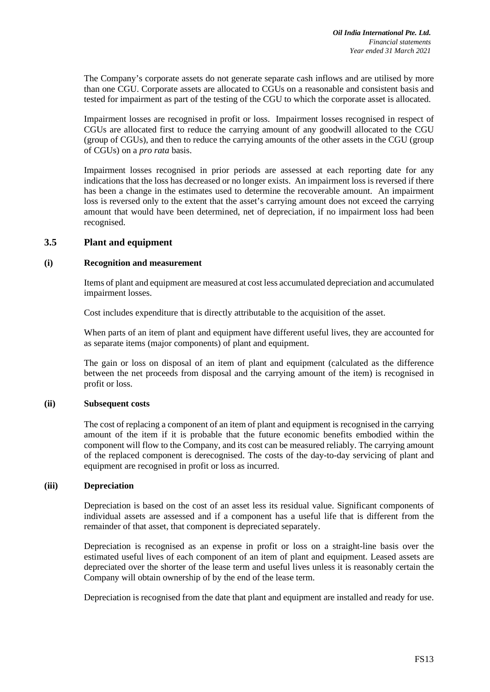The Company's corporate assets do not generate separate cash inflows and are utilised by more than one CGU. Corporate assets are allocated to CGUs on a reasonable and consistent basis and tested for impairment as part of the testing of the CGU to which the corporate asset is allocated.

Impairment losses are recognised in profit or loss. Impairment losses recognised in respect of CGUs are allocated first to reduce the carrying amount of any goodwill allocated to the CGU (group of CGUs), and then to reduce the carrying amounts of the other assets in the CGU (group of CGUs) on a *pro rata* basis.

Impairment losses recognised in prior periods are assessed at each reporting date for any indications that the loss has decreased or no longer exists. An impairment loss is reversed if there has been a change in the estimates used to determine the recoverable amount. An impairment loss is reversed only to the extent that the asset's carrying amount does not exceed the carrying amount that would have been determined, net of depreciation, if no impairment loss had been recognised.

#### **3.5 Plant and equipment**

#### **(i) Recognition and measurement**

Items of plant and equipment are measured at cost less accumulated depreciation and accumulated impairment losses.

Cost includes expenditure that is directly attributable to the acquisition of the asset.

When parts of an item of plant and equipment have different useful lives, they are accounted for as separate items (major components) of plant and equipment.

The gain or loss on disposal of an item of plant and equipment (calculated as the difference between the net proceeds from disposal and the carrying amount of the item) is recognised in profit or loss.

#### **(ii) Subsequent costs**

The cost of replacing a component of an item of plant and equipment is recognised in the carrying amount of the item if it is probable that the future economic benefits embodied within the component will flow to the Company, and its cost can be measured reliably. The carrying amount of the replaced component is derecognised. The costs of the day-to-day servicing of plant and equipment are recognised in profit or loss as incurred.

#### **(iii) Depreciation**

Depreciation is based on the cost of an asset less its residual value. Significant components of individual assets are assessed and if a component has a useful life that is different from the remainder of that asset, that component is depreciated separately.

Depreciation is recognised as an expense in profit or loss on a straight-line basis over the estimated useful lives of each component of an item of plant and equipment. Leased assets are depreciated over the shorter of the lease term and useful lives unless it is reasonably certain the Company will obtain ownership of by the end of the lease term.

Depreciation is recognised from the date that plant and equipment are installed and ready for use.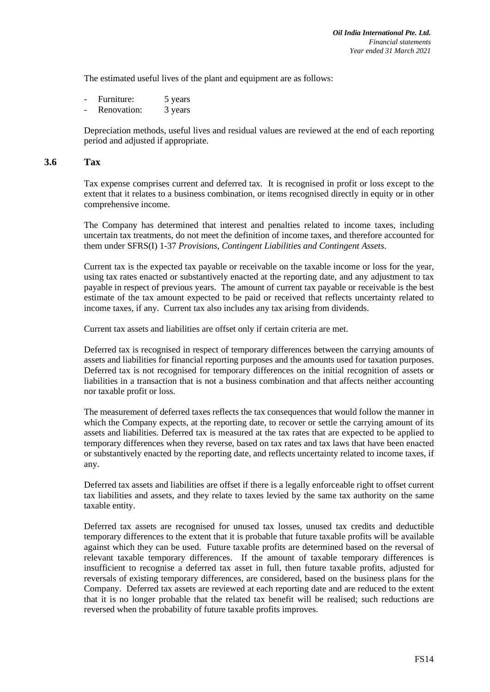The estimated useful lives of the plant and equipment are as follows:

Furniture: 5 years Renovation: 3 years

Depreciation methods, useful lives and residual values are reviewed at the end of each reporting period and adjusted if appropriate.

#### **3.6 Tax**

Tax expense comprises current and deferred tax. It is recognised in profit or loss except to the extent that it relates to a business combination, or items recognised directly in equity or in other comprehensive income.

The Company has determined that interest and penalties related to income taxes, including uncertain tax treatments, do not meet the definition of income taxes, and therefore accounted for them under SFRS(I) 1-37 *Provisions, Contingent Liabilities and Contingent Assets*.

Current tax is the expected tax payable or receivable on the taxable income or loss for the year, using tax rates enacted or substantively enacted at the reporting date, and any adjustment to tax payable in respect of previous years. The amount of current tax payable or receivable is the best estimate of the tax amount expected to be paid or received that reflects uncertainty related to income taxes, if any. Current tax also includes any tax arising from dividends.

Current tax assets and liabilities are offset only if certain criteria are met.

Deferred tax is recognised in respect of temporary differences between the carrying amounts of assets and liabilities for financial reporting purposes and the amounts used for taxation purposes. Deferred tax is not recognised for temporary differences on the initial recognition of assets or liabilities in a transaction that is not a business combination and that affects neither accounting nor taxable profit or loss.

The measurement of deferred taxes reflects the tax consequences that would follow the manner in which the Company expects, at the reporting date, to recover or settle the carrying amount of its assets and liabilities. Deferred tax is measured at the tax rates that are expected to be applied to temporary differences when they reverse, based on tax rates and tax laws that have been enacted or substantively enacted by the reporting date, and reflects uncertainty related to income taxes, if any.

Deferred tax assets and liabilities are offset if there is a legally enforceable right to offset current tax liabilities and assets, and they relate to taxes levied by the same tax authority on the same taxable entity.

Deferred tax assets are recognised for unused tax losses, unused tax credits and deductible temporary differences to the extent that it is probable that future taxable profits will be available against which they can be used. Future taxable profits are determined based on the reversal of relevant taxable temporary differences. If the amount of taxable temporary differences is insufficient to recognise a deferred tax asset in full, then future taxable profits, adjusted for reversals of existing temporary differences, are considered, based on the business plans for the Company. Deferred tax assets are reviewed at each reporting date and are reduced to the extent that it is no longer probable that the related tax benefit will be realised; such reductions are reversed when the probability of future taxable profits improves.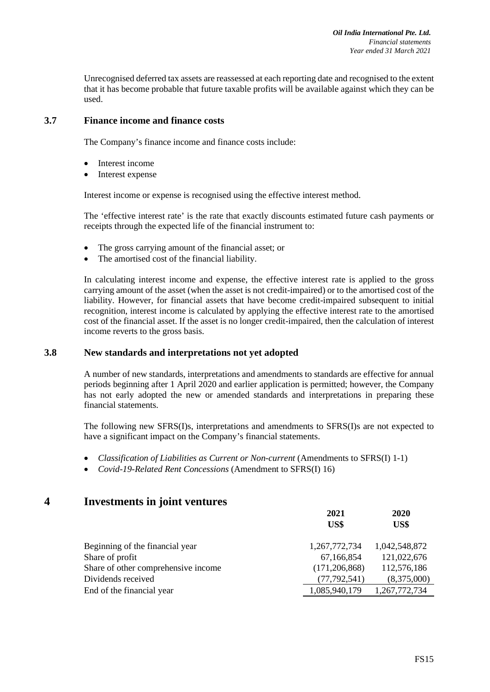Unrecognised deferred tax assets are reassessed at each reporting date and recognised to the extent that it has become probable that future taxable profits will be available against which they can be used.

#### **3.7 Finance income and finance costs**

The Company's finance income and finance costs include:

- Interest income
- Interest expense

Interest income or expense is recognised using the effective interest method.

The 'effective interest rate' is the rate that exactly discounts estimated future cash payments or receipts through the expected life of the financial instrument to:

- The gross carrying amount of the financial asset; or
- The amortised cost of the financial liability.

In calculating interest income and expense, the effective interest rate is applied to the gross carrying amount of the asset (when the asset is not credit-impaired) or to the amortised cost of the liability. However, for financial assets that have become credit-impaired subsequent to initial recognition, interest income is calculated by applying the effective interest rate to the amortised cost of the financial asset. If the asset is no longer credit-impaired, then the calculation of interest income reverts to the gross basis.

#### **3.8 New standards and interpretations not yet adopted**

A number of new standards, interpretations and amendments to standards are effective for annual periods beginning after 1 April 2020 and earlier application is permitted; however, the Company has not early adopted the new or amended standards and interpretations in preparing these financial statements.

The following new SFRS(I)s, interpretations and amendments to SFRS(I)s are not expected to have a significant impact on the Company's financial statements.

- *Classification of Liabilities as Current or Non-current* (Amendments to SFRS(I) 1-1)
- *Covid-19-Related Rent Concessions* (Amendment to SFRS(I) 16)

## **4 Investments in joint ventures**

|                                     | 2021<br>US\$    | 2020<br>US\$  |
|-------------------------------------|-----------------|---------------|
| Beginning of the financial year     | 1,267,772,734   | 1,042,548,872 |
| Share of profit                     | 67,166,854      | 121,022,676   |
| Share of other comprehensive income | (171, 206, 868) | 112,576,186   |
| Dividends received                  | (77, 792, 541)  | (8,375,000)   |
| End of the financial year           | 1,085,940,179   | 1,267,772,734 |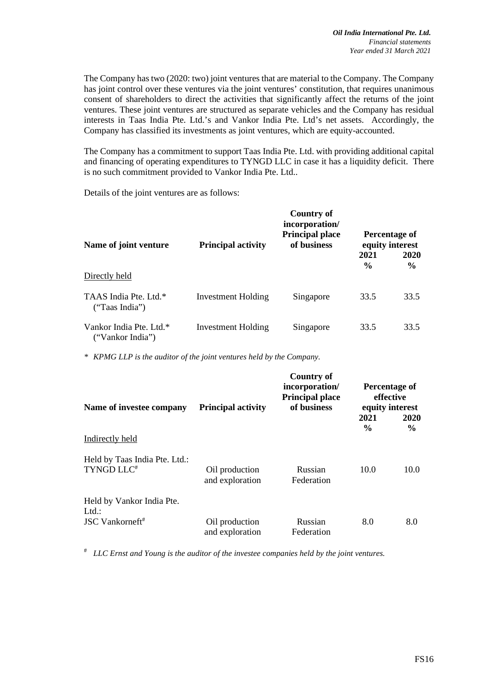The Company has two (2020: two) joint ventures that are material to the Company. The Company has joint control over these ventures via the joint ventures' constitution, that requires unanimous consent of shareholders to direct the activities that significantly affect the returns of the joint ventures. These joint ventures are structured as separate vehicles and the Company has residual interests in Taas India Pte. Ltd.'s and Vankor India Pte. Ltd's net assets. Accordingly, the Company has classified its investments as joint ventures, which are equity-accounted.

The Company has a commitment to support Taas India Pte. Ltd. with providing additional capital and financing of operating expenditures to TYNGD LLC in case it has a liquidity deficit. There is no such commitment provided to Vankor India Pte. Ltd..

Details of the joint ventures are as follows:

| Name of joint venture                       | <b>Principal activity</b> | <b>Country of</b><br>incorporation/<br><b>Principal place</b><br>of business |                       | Percentage of<br>equity interest |
|---------------------------------------------|---------------------------|------------------------------------------------------------------------------|-----------------------|----------------------------------|
|                                             |                           |                                                                              | 2021<br>$\frac{6}{9}$ | 2020<br>$\frac{6}{6}$            |
| Directly held                               |                           |                                                                              |                       |                                  |
| TAAS India Pte. Ltd.*<br>("Taas India")     | <b>Investment Holding</b> | Singapore                                                                    | 33.5                  | 33.5                             |
| Vankor India Pte. Ltd.*<br>("Vankor India") | <b>Investment Holding</b> | Singapore                                                                    | 33.5                  | 33.5                             |

*\* KPMG LLP is the auditor of the joint ventures held by the Company.* 

| Name of investee company                                 | <b>Principal activity</b>         | Country of<br>incorporation/<br><b>Principal place</b><br>of business | 2021          | Percentage of<br>effective<br>equity interest<br>2020 |
|----------------------------------------------------------|-----------------------------------|-----------------------------------------------------------------------|---------------|-------------------------------------------------------|
| Indirectly held                                          |                                   |                                                                       | $\frac{0}{0}$ | $\frac{0}{0}$                                         |
| Held by Taas India Pte. Ltd.:<br>TYNGD LLC#              | Oil production<br>and exploration | Russian<br>Federation                                                 | 10.0          | 10.0                                                  |
| Held by Vankor India Pte.<br>$Ltd.$ :<br>JSC Vankorneft# | Oil production<br>and exploration | Russian<br>Federation                                                 | 8.0           | 8.0                                                   |

# *LLC Ernst and Young is the auditor of the investee companies held by the joint ventures.*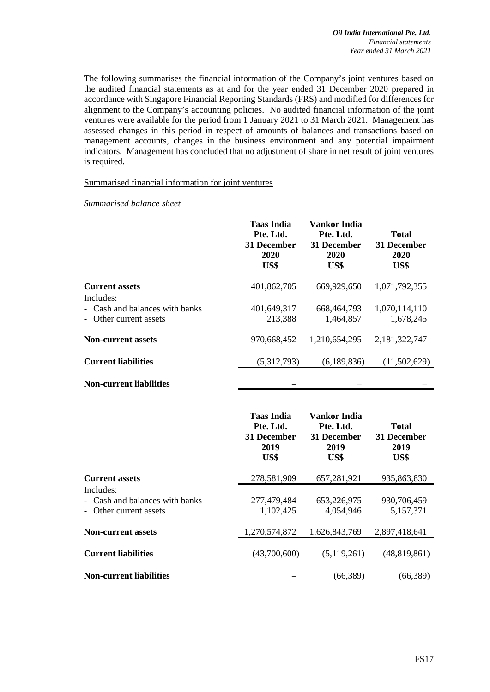The following summarises the financial information of the Company's joint ventures based on the audited financial statements as at and for the year ended 31 December 2020 prepared in accordance with Singapore Financial Reporting Standards (FRS) and modified for differences for alignment to the Company's accounting policies. No audited financial information of the joint ventures were available for the period from 1 January 2021 to 31 March 2021. Management has assessed changes in this period in respect of amounts of balances and transactions based on management accounts, changes in the business environment and any potential impairment indicators. Management has concluded that no adjustment of share in net result of joint ventures is required.

#### Summarised financial information for joint ventures

#### *Summarised balance sheet*

|                                | <b>Taas India</b><br>Pte. Ltd.<br>31 December<br>2020<br>US\$ | Vankor India<br>Pte. Ltd.<br><b>31 December</b><br>2020<br>US\$ | <b>Total</b><br>31 December<br>2020<br>US\$ |
|--------------------------------|---------------------------------------------------------------|-----------------------------------------------------------------|---------------------------------------------|
| <b>Current assets</b>          | 401,862,705                                                   | 669,929,650                                                     | 1,071,792,355                               |
| Includes:                      |                                                               |                                                                 |                                             |
| - Cash and balances with banks | 401,649,317                                                   | 668, 464, 793                                                   | 1,070,114,110                               |
| Other current assets           | 213,388                                                       | 1,464,857                                                       | 1,678,245                                   |
| <b>Non-current assets</b>      | 970,668,452                                                   | 1,210,654,295                                                   | 2,181,322,747                               |
| <b>Current liabilities</b>     | (5,312,793)                                                   | (6,189,836)                                                     | (11,502,629)                                |
| <b>Non-current liabilities</b> |                                                               |                                                                 |                                             |

|                                                  | <b>Taas India</b><br>Pte. Ltd.<br>31 December<br>2019<br>US\$ | <b>Vankor India</b><br>Pte. Ltd.<br>31 December<br>2019<br>US\$ | <b>Total</b><br>31 December<br>2019<br>US\$ |
|--------------------------------------------------|---------------------------------------------------------------|-----------------------------------------------------------------|---------------------------------------------|
| <b>Current assets</b>                            | 278,581,909                                                   | 657,281,921                                                     | 935,863,830                                 |
| Includes:                                        |                                                               |                                                                 |                                             |
| - Cash and balances with banks                   | 277,479,484                                                   | 653,226,975                                                     | 930,706,459                                 |
| Other current assets<br>$\overline{\phantom{0}}$ | 1,102,425                                                     | 4,054,946                                                       | 5,157,371                                   |
| <b>Non-current assets</b>                        | 1,270,574,872                                                 | 1,626,843,769                                                   | 2,897,418,641                               |
| <b>Current liabilities</b>                       | (43,700,600)                                                  | (5,119,261)                                                     | (48, 819, 861)                              |
| <b>Non-current liabilities</b>                   |                                                               | (66, 389)                                                       | (66, 389)                                   |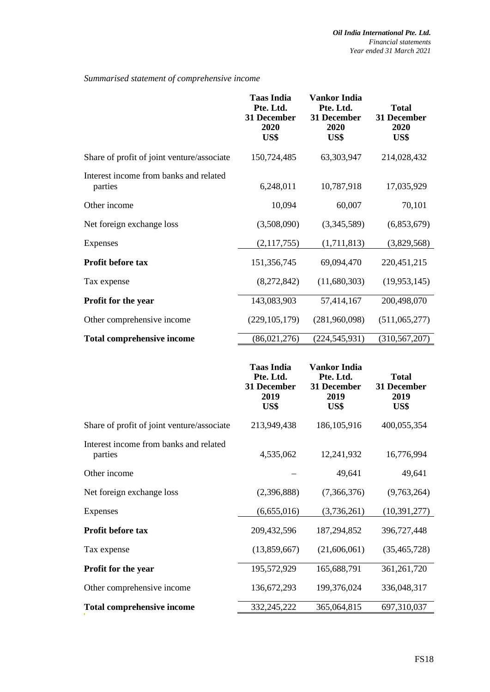## *Summarised statement of comprehensive income*

|                                                   | <b>Taas India</b><br>Pte. Ltd.<br>31 December<br>2020<br>US\$ | <b>Vankor India</b><br>Pte. Ltd.<br>31 December<br>2020<br>US\$ | <b>Total</b><br>31 December<br>2020<br>US\$ |
|---------------------------------------------------|---------------------------------------------------------------|-----------------------------------------------------------------|---------------------------------------------|
| Share of profit of joint venture/associate        | 150,724,485                                                   | 63,303,947                                                      | 214,028,432                                 |
| Interest income from banks and related<br>parties | 6,248,011                                                     | 10,787,918                                                      | 17,035,929                                  |
| Other income                                      | 10,094                                                        | 60,007                                                          | 70,101                                      |
| Net foreign exchange loss                         | (3,508,090)                                                   | (3,345,589)                                                     | (6,853,679)                                 |
| <b>Expenses</b>                                   | (2,117,755)                                                   | (1,711,813)                                                     | (3,829,568)                                 |
| Profit before tax                                 | 151,356,745                                                   | 69,094,470                                                      | 220, 451, 215                               |
| Tax expense                                       | (8,272,842)                                                   | (11,680,303)                                                    | (19,953,145)                                |
| <b>Profit for the year</b>                        | 143,083,903                                                   | 57,414,167                                                      | 200,498,070                                 |
| Other comprehensive income                        | (229, 105, 179)                                               | (281,960,098)                                                   | (511,065,277)                               |
| <b>Total comprehensive income</b>                 | (86,021,276)                                                  | (224, 545, 931)                                                 | (310, 567, 207)                             |

|                                                   | <b>Taas India</b><br>Pte. Ltd.<br>31 December<br>2019<br>US\$ | Vankor India<br>Pte. Ltd.<br>31 December<br>2019<br>US\$ | <b>Total</b><br>31 December<br>2019<br>US\$ |
|---------------------------------------------------|---------------------------------------------------------------|----------------------------------------------------------|---------------------------------------------|
| Share of profit of joint venture/associate        | 213,949,438                                                   | 186, 105, 916                                            | 400,055,354                                 |
| Interest income from banks and related<br>parties | 4,535,062                                                     | 12,241,932                                               | 16,776,994                                  |
| Other income                                      |                                                               | 49,641                                                   | 49,641                                      |
| Net foreign exchange loss                         | (2,396,888)                                                   | (7,366,376)                                              | (9,763,264)                                 |
| <b>Expenses</b>                                   | (6,655,016)                                                   | (3,736,261)                                              | (10, 391, 277)                              |
| <b>Profit before tax</b>                          | 209,432,596                                                   | 187,294,852                                              | 396,727,448                                 |
| Tax expense                                       | (13,859,667)                                                  | (21,606,061)                                             | (35, 465, 728)                              |
| Profit for the year                               | 195,572,929                                                   | 165,688,791                                              | 361,261,720                                 |
| Other comprehensive income                        | 136,672,293                                                   | 199,376,024                                              | 336,048,317                                 |
| <b>Total comprehensive income</b>                 | 332, 245, 222                                                 | 365,064,815                                              | 697,310,037                                 |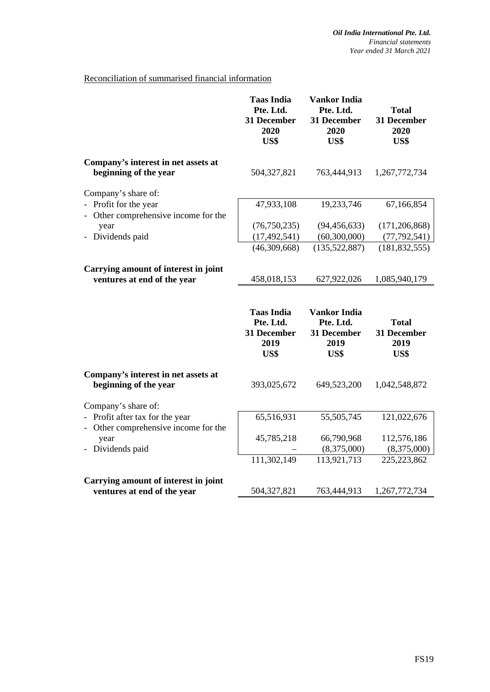# Reconciliation of summarised financial information

|                                                                     | <b>Taas India</b><br>Pte. Ltd.<br>31 December<br>2020<br>US\$ | <b>Vankor India</b><br>Pte. Ltd.<br>31 December<br>2020<br>US\$ | <b>Total</b><br>31 December<br>2020<br>US\$ |
|---------------------------------------------------------------------|---------------------------------------------------------------|-----------------------------------------------------------------|---------------------------------------------|
| Company's interest in net assets at<br>beginning of the year        | 504,327,821                                                   | 763,444,913                                                     | 1,267,772,734                               |
| Company's share of:                                                 |                                                               |                                                                 |                                             |
| - Profit for the year                                               | 47,933,108                                                    | 19,233,746                                                      | 67,166,854                                  |
| - Other comprehensive income for the                                |                                                               |                                                                 |                                             |
| year                                                                | (76, 750, 235)                                                | (94, 456, 633)                                                  | (171, 206, 868)                             |
| - Dividends paid                                                    | (17, 492, 541)                                                | (60, 300, 000)                                                  | (77, 792, 541)                              |
|                                                                     | (46,309,668)                                                  | (135, 522, 887)                                                 | (181, 832, 555)                             |
| Carrying amount of interest in joint<br>ventures at end of the year | 458,018,153                                                   | 627,922,026                                                     | 1,085,940,179                               |
|                                                                     |                                                               |                                                                 |                                             |
|                                                                     |                                                               |                                                                 |                                             |
|                                                                     | <b>Taas India</b><br>Pte. Ltd.<br>31 December<br>2019<br>US\$ | <b>Vankor India</b><br>Pte. Ltd.<br>31 December<br>2019<br>US\$ | <b>Total</b><br>31 December<br>2019<br>US\$ |
| Company's interest in net assets at<br>beginning of the year        | 393,025,672                                                   | 649,523,200                                                     | 1,042,548,872                               |
|                                                                     |                                                               |                                                                 |                                             |
| Company's share of:<br>- Profit after tax for the year              | 65,516,931                                                    | 55,505,745                                                      | 121,022,676                                 |
| Other comprehensive income for the                                  |                                                               |                                                                 |                                             |
| year                                                                | 45,785,218                                                    | 66,790,968                                                      | 112,576,186                                 |
| - Dividends paid                                                    |                                                               | (8,375,000)                                                     | (8,375,000)                                 |
|                                                                     | 111,302,149                                                   | 113,921,713                                                     | 225, 223, 862                               |
| Carrying amount of interest in joint                                |                                                               |                                                                 |                                             |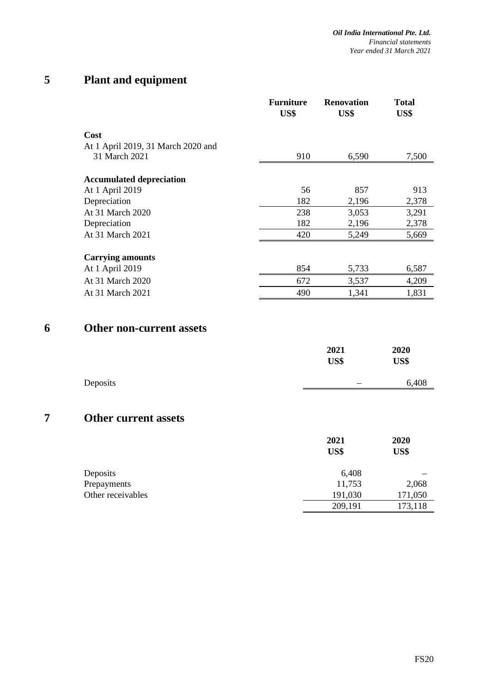# **5 Plant and equipment**

|                                    | <b>Furniture</b><br>US\$ | <b>Renovation</b><br>US\$ | <b>Total</b><br>US\$ |
|------------------------------------|--------------------------|---------------------------|----------------------|
| <b>Cost</b>                        |                          |                           |                      |
| At 1 April 2019, 31 March 2020 and |                          |                           |                      |
| 31 March 2021                      | 910                      | 6,590                     | 7,500                |
| <b>Accumulated depreciation</b>    |                          |                           |                      |
| At 1 April 2019                    | 56                       | 857                       | 913                  |
| Depreciation                       | 182                      | 2,196                     | 2,378                |
| At 31 March 2020                   | 238                      | 3,053                     | 3,291                |
| Depreciation                       | 182                      | 2,196                     | 2,378                |
| At 31 March 2021                   | 420                      | 5,249                     | 5,669                |
| <b>Carrying amounts</b>            |                          |                           |                      |
| At 1 April 2019                    | 854                      | 5,733                     | 6,587                |
| At 31 March 2020                   | 672                      | 3,537                     | 4,209                |
| At 31 March 2021                   | 490                      | 1,341                     | 1,831                |
|                                    |                          |                           |                      |

# **6 Other non-current assets**

|          | 2021<br>US\$ | 2020<br>US\$ |
|----------|--------------|--------------|
| Deposits |              | 6,408        |

# **7 Other current assets**

|                   | 2021<br>US\$ | 2020<br>US\$ |
|-------------------|--------------|--------------|
| Deposits          | 6,408        |              |
| Prepayments       | 11,753       | 2,068        |
| Other receivables | 191,030      | 171,050      |
|                   | 209,191      | 173,118      |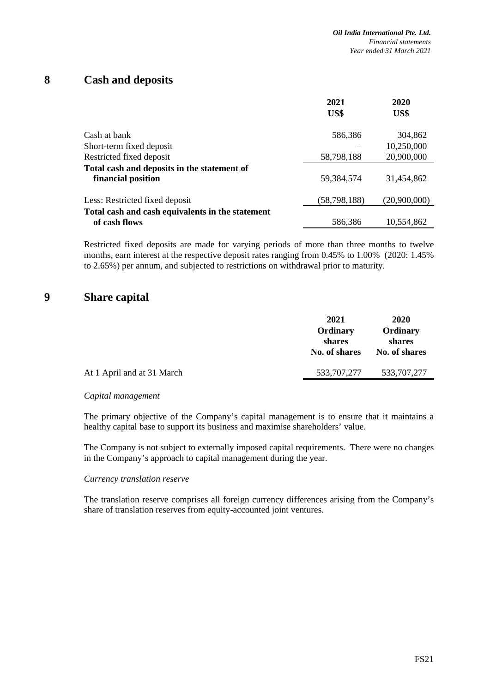# **8 Cash and deposits**

|                                                                   | 2021<br>US\$   | 2020<br>US\$ |
|-------------------------------------------------------------------|----------------|--------------|
| Cash at bank                                                      | 586,386        | 304,862      |
| Short-term fixed deposit                                          |                | 10,250,000   |
| Restricted fixed deposit                                          | 58,798,188     | 20,900,000   |
| Total cash and deposits in the statement of<br>financial position | 59,384,574     | 31,454,862   |
| Less: Restricted fixed deposit                                    | (58, 798, 188) | (20,900,000) |
| Total cash and cash equivalents in the statement<br>of cash flows | 586,386        | 10,554,862   |

Restricted fixed deposits are made for varying periods of more than three months to twelve months, earn interest at the respective deposit rates ranging from 0.45% to 1.00% (2020: 1.45% to 2.65%) per annum, and subjected to restrictions on withdrawal prior to maturity.

## **9 Share capital**

|                            | 2021<br>Ordinary<br>shares<br>No. of shares | <b>2020</b><br>Ordinary<br>shares<br>No. of shares |
|----------------------------|---------------------------------------------|----------------------------------------------------|
| At 1 April and at 31 March | 533,707,277                                 | 533, 707, 277                                      |
|                            |                                             |                                                    |

#### *Capital management*

The primary objective of the Company's capital management is to ensure that it maintains a healthy capital base to support its business and maximise shareholders' value.

The Company is not subject to externally imposed capital requirements. There were no changes in the Company's approach to capital management during the year.

#### *Currency translation reserve*

The translation reserve comprises all foreign currency differences arising from the Company's share of translation reserves from equity-accounted joint ventures.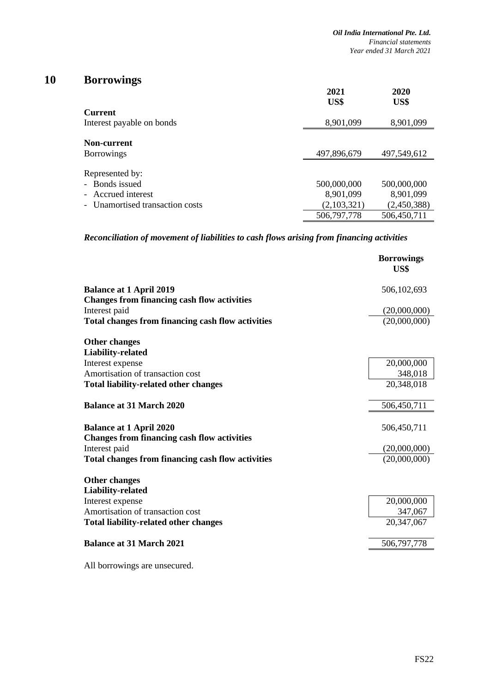# **10 Borrowings**

|                                 | 2021<br>US\$ | 2020<br>US\$ |
|---------------------------------|--------------|--------------|
| <b>Current</b>                  |              |              |
| Interest payable on bonds       | 8,901,099    | 8,901,099    |
| Non-current                     |              |              |
| <b>Borrowings</b>               | 497,896,679  | 497,549,612  |
| Represented by:                 |              |              |
| - Bonds issued                  | 500,000,000  | 500,000,000  |
| - Accrued interest              | 8,901,099    | 8,901,099    |
| - Unamortised transaction costs | (2,103,321)  | (2,450,388)  |
|                                 | 506,797,778  | 506,450,711  |

*Reconciliation of movement of liabilities to cash flows arising from financing activities*

|                                                    | <b>Borrowings</b><br>US\$ |
|----------------------------------------------------|---------------------------|
| <b>Balance at 1 April 2019</b>                     | 506,102,693               |
| <b>Changes from financing cash flow activities</b> |                           |
| Interest paid                                      | (20,000,000)              |
| Total changes from financing cash flow activities  | (20,000,000)              |
| <b>Other changes</b>                               |                           |
| <b>Liability-related</b>                           |                           |
| Interest expense                                   | 20,000,000                |
| Amortisation of transaction cost                   | 348,018                   |
| <b>Total liability-related other changes</b>       | 20,348,018                |
| <b>Balance at 31 March 2020</b>                    | 506,450,711               |
| <b>Balance at 1 April 2020</b>                     | 506,450,711               |
| <b>Changes from financing cash flow activities</b> |                           |
| Interest paid                                      | (20,000,000)              |
| Total changes from financing cash flow activities  | (20.000.000)              |
| Other changes                                      |                           |
| Liability-related                                  |                           |
| Interest expense                                   | 20,000,000                |
| Amortisation of transaction cost                   | 347,067                   |
| <b>Total liability-related other changes</b>       | 20,347,067                |
| <b>Balance at 31 March 2021</b>                    | 506,797,778               |

All borrowings are unsecured.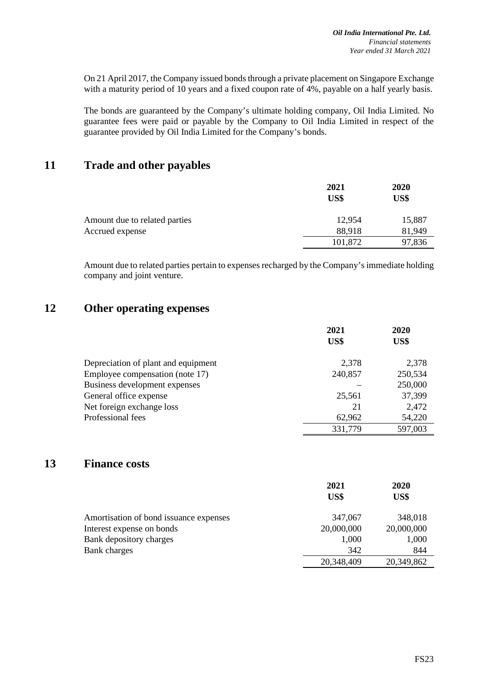On 21 April 2017, the Company issued bonds through a private placement on Singapore Exchange with a maturity period of 10 years and a fixed coupon rate of 4%, payable on a half yearly basis.

The bonds are guaranteed by the Company's ultimate holding company, Oil India Limited. No guarantee fees were paid or payable by the Company to Oil India Limited in respect of the guarantee provided by Oil India Limited for the Company's bonds.

# **11 Trade and other payables**

|                               | 2021<br>US\$ | 2020<br>US\$ |
|-------------------------------|--------------|--------------|
| Amount due to related parties | 12,954       | 15,887       |
| Accrued expense               | 88,918       | 81,949       |
|                               | 101,872      | 97,836       |

Amount due to related parties pertain to expenses recharged by the Company's immediate holding company and joint venture.

# **12 Other operating expenses**

|                                     | 2021<br>US\$ | <b>2020</b><br>US\$ |
|-------------------------------------|--------------|---------------------|
| Depreciation of plant and equipment | 2,378        | 2,378               |
| Employee compensation (note 17)     | 240,857      | 250,534             |
| Business development expenses       |              | 250,000             |
| General office expense              | 25,561       | 37,399              |
| Net foreign exchange loss           | 21           | 2,472               |
| Professional fees                   | 62,962       | 54,220              |
|                                     | 331,779      | 597,003             |

# **13 Finance costs**

|                                        | 2021       | 2020       |
|----------------------------------------|------------|------------|
|                                        | US\$       | US\$       |
| Amortisation of bond issuance expenses | 347,067    | 348,018    |
| Interest expense on bonds              | 20,000,000 | 20,000,000 |
| Bank depository charges                | 1,000      | 1,000      |
| Bank charges                           | 342        | 844        |
|                                        | 20,348,409 | 20,349,862 |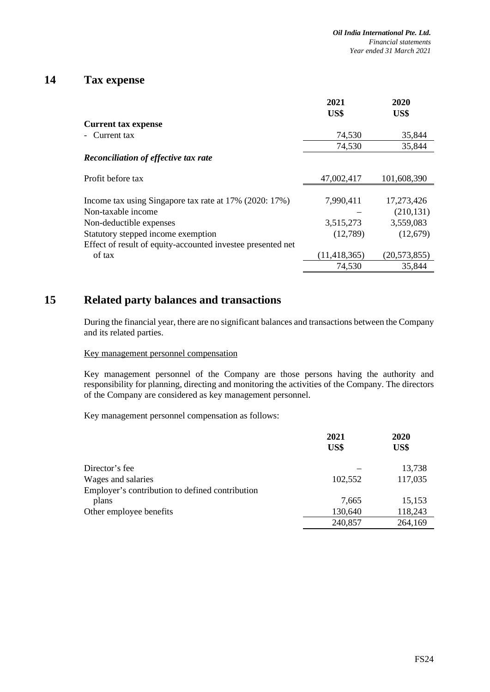# **14 Tax expense**

|                                                             | 2021           | 2020           |
|-------------------------------------------------------------|----------------|----------------|
|                                                             | US\$           | US\$           |
| <b>Current tax expense</b>                                  |                |                |
| - Current tax                                               | 74,530         | 35,844         |
|                                                             | 74,530         | 35,844         |
| <b>Reconciliation of effective tax rate</b>                 |                |                |
| Profit before tax                                           | 47,002,417     | 101,608,390    |
|                                                             |                |                |
| Income tax using Singapore tax rate at 17% (2020: 17%)      | 7,990,411      | 17,273,426     |
| Non-taxable income                                          |                | (210, 131)     |
| Non-deductible expenses                                     | 3,515,273      | 3,559,083      |
| Statutory stepped income exemption                          | (12,789)       | (12,679)       |
| Effect of result of equity-accounted investee presented net |                |                |
| of tax                                                      | (11, 418, 365) | (20, 573, 855) |
|                                                             | 74,530         | 35,844         |

# **15 Related party balances and transactions**

During the financial year, there are no significant balances and transactions between the Company and its related parties.

#### Key management personnel compensation

Key management personnel of the Company are those persons having the authority and responsibility for planning, directing and monitoring the activities of the Company. The directors of the Company are considered as key management personnel.

Key management personnel compensation as follows:

|                                                 | 2021<br>US\$ | 2020<br>US\$ |
|-------------------------------------------------|--------------|--------------|
| Director's fee                                  |              | 13,738       |
| Wages and salaries                              | 102,552      | 117,035      |
| Employer's contribution to defined contribution |              |              |
| plans                                           | 7,665        | 15,153       |
| Other employee benefits                         | 130,640      | 118,243      |
|                                                 | 240,857      | 264,169      |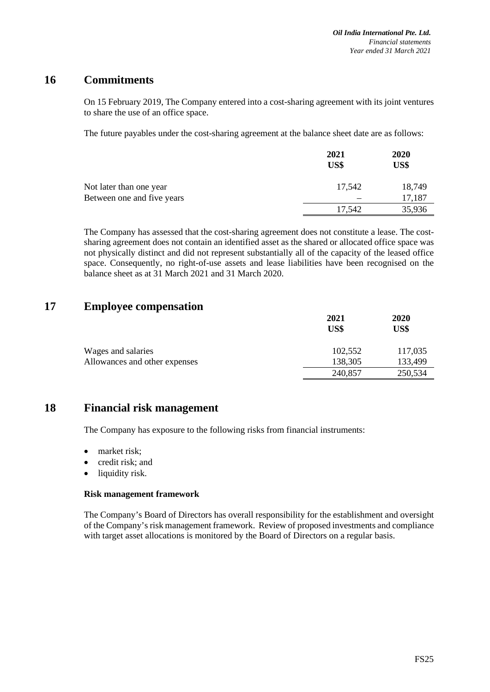# **16 Commitments**

On 15 February 2019, The Company entered into a cost-sharing agreement with its joint ventures to share the use of an office space.

The future payables under the cost-sharing agreement at the balance sheet date are as follows:

|                            | 2021<br>US\$ | 2020<br>US\$ |
|----------------------------|--------------|--------------|
| Not later than one year    | 17,542       | 18,749       |
| Between one and five years |              | 17,187       |
|                            | 17,542       | 35,936       |

The Company has assessed that the cost-sharing agreement does not constitute a lease. The costsharing agreement does not contain an identified asset as the shared or allocated office space was not physically distinct and did not represent substantially all of the capacity of the leased office space. Consequently, no right-of-use assets and lease liabilities have been recognised on the balance sheet as at 31 March 2021 and 31 March 2020.

# **17 Employee compensation**

|                               | 2021<br>US\$ | 2020<br>US\$ |
|-------------------------------|--------------|--------------|
| Wages and salaries            | 102,552      | 117,035      |
| Allowances and other expenses | 138,305      | 133,499      |
|                               | 240,857      | 250,534      |

# **18 Financial risk management**

The Company has exposure to the following risks from financial instruments:

- market risk;
- credit risk; and
- liquidity risk.

#### **Risk management framework**

The Company's Board of Directors has overall responsibility for the establishment and oversight of the Company's risk management framework. Review of proposed investments and compliance with target asset allocations is monitored by the Board of Directors on a regular basis.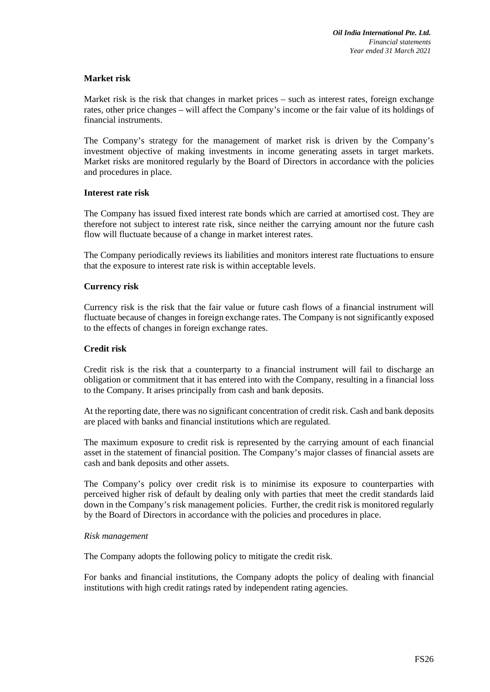#### **Market risk**

Market risk is the risk that changes in market prices – such as interest rates, foreign exchange rates, other price changes – will affect the Company's income or the fair value of its holdings of financial instruments.

The Company's strategy for the management of market risk is driven by the Company's investment objective of making investments in income generating assets in target markets. Market risks are monitored regularly by the Board of Directors in accordance with the policies and procedures in place.

#### **Interest rate risk**

The Company has issued fixed interest rate bonds which are carried at amortised cost. They are therefore not subject to interest rate risk, since neither the carrying amount nor the future cash flow will fluctuate because of a change in market interest rates.

The Company periodically reviews its liabilities and monitors interest rate fluctuations to ensure that the exposure to interest rate risk is within acceptable levels.

#### **Currency risk**

Currency risk is the risk that the fair value or future cash flows of a financial instrument will fluctuate because of changes in foreign exchange rates. The Company is not significantly exposed to the effects of changes in foreign exchange rates.

#### **Credit risk**

Credit risk is the risk that a counterparty to a financial instrument will fail to discharge an obligation or commitment that it has entered into with the Company, resulting in a financial loss to the Company. It arises principally from cash and bank deposits.

At the reporting date, there was no significant concentration of credit risk. Cash and bank deposits are placed with banks and financial institutions which are regulated.

The maximum exposure to credit risk is represented by the carrying amount of each financial asset in the statement of financial position. The Company's major classes of financial assets are cash and bank deposits and other assets.

The Company's policy over credit risk is to minimise its exposure to counterparties with perceived higher risk of default by dealing only with parties that meet the credit standards laid down in the Company's risk management policies. Further, the credit risk is monitored regularly by the Board of Directors in accordance with the policies and procedures in place.

#### *Risk management*

The Company adopts the following policy to mitigate the credit risk.

For banks and financial institutions, the Company adopts the policy of dealing with financial institutions with high credit ratings rated by independent rating agencies.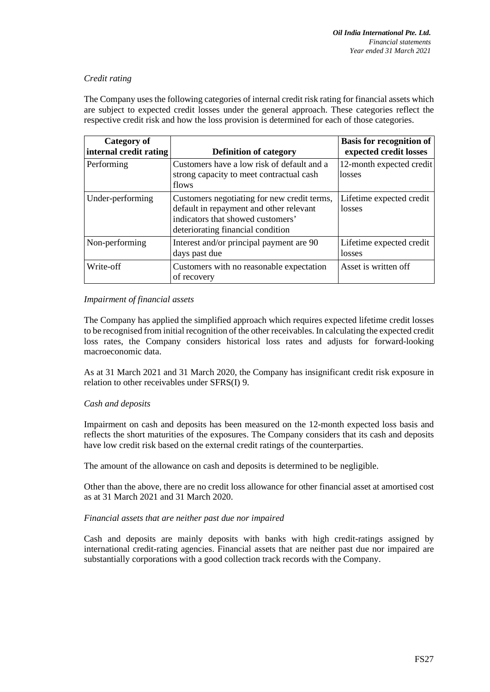## *Credit rating*

The Company uses the following categories of internal credit risk rating for financial assets which are subject to expected credit losses under the general approach. These categories reflect the respective credit risk and how the loss provision is determined for each of those categories.

| Category of<br>internal credit rating | <b>Definition of category</b>                                                                                                                                    | <b>Basis for recognition of</b><br>expected credit losses |
|---------------------------------------|------------------------------------------------------------------------------------------------------------------------------------------------------------------|-----------------------------------------------------------|
| Performing                            | Customers have a low risk of default and a<br>strong capacity to meet contractual cash<br>flows                                                                  | 12-month expected credit<br>losses                        |
| Under-performing                      | Customers negotiating for new credit terms,<br>default in repayment and other relevant<br>indicators that showed customers'<br>deteriorating financial condition | Lifetime expected credit<br>losses                        |
| Non-performing                        | Interest and/or principal payment are 90<br>days past due                                                                                                        | Lifetime expected credit<br>losses                        |
| Write-off                             | Customers with no reasonable expectation<br>of recovery                                                                                                          | Asset is written off                                      |

#### *Impairment of financial assets*

The Company has applied the simplified approach which requires expected lifetime credit losses to be recognised from initial recognition of the other receivables. In calculating the expected credit loss rates, the Company considers historical loss rates and adjusts for forward-looking macroeconomic data.

As at 31 March 2021 and 31 March 2020, the Company has insignificant credit risk exposure in relation to other receivables under SFRS(I) 9.

## *Cash and deposits*

Impairment on cash and deposits has been measured on the 12-month expected loss basis and reflects the short maturities of the exposures. The Company considers that its cash and deposits have low credit risk based on the external credit ratings of the counterparties.

The amount of the allowance on cash and deposits is determined to be negligible.

Other than the above, there are no credit loss allowance for other financial asset at amortised cost as at 31 March 2021 and 31 March 2020.

#### *Financial assets that are neither past due nor impaired*

Cash and deposits are mainly deposits with banks with high credit-ratings assigned by international credit-rating agencies. Financial assets that are neither past due nor impaired are substantially corporations with a good collection track records with the Company.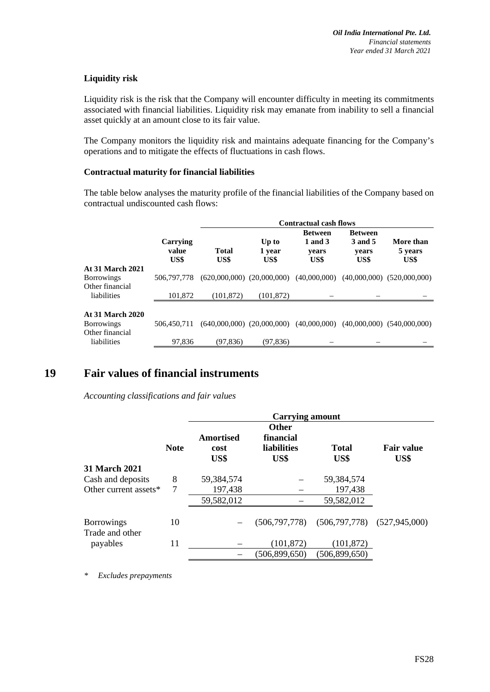## **Liquidity risk**

Liquidity risk is the risk that the Company will encounter difficulty in meeting its commitments associated with financial liabilities. Liquidity risk may emanate from inability to sell a financial asset quickly at an amount close to its fair value.

The Company monitors the liquidity risk and maintains adequate financing for the Company's operations and to mitigate the effects of fluctuations in cash flows.

#### **Contractual maturity for financial liabilities**

The table below analyses the maturity profile of the financial liabilities of the Company based on contractual undiscounted cash flows:

|                                                                 |                           |                                | <b>Contractual cash flows</b> |                                            |                                            |                                |
|-----------------------------------------------------------------|---------------------------|--------------------------------|-------------------------------|--------------------------------------------|--------------------------------------------|--------------------------------|
|                                                                 | Carrying<br>value<br>US\$ | <b>Total</b><br>US\$           | Up to<br>1 year<br>US\$       | <b>Between</b><br>1 and 3<br>years<br>US\$ | <b>Between</b><br>3 and 5<br>years<br>US\$ | More than<br>5 years<br>US\$   |
| <b>At 31 March 2021</b><br><b>Borrowings</b><br>Other financial | 506,797,778               | $(620,000,000)$ $(20,000,000)$ |                               | (40,000,000)                               |                                            | $(40,000,000)$ $(520,000,000)$ |
| liabilities                                                     | 101,872                   | (101, 872)                     | (101, 872)                    |                                            |                                            |                                |
| <b>At 31 March 2020</b><br><b>Borrowings</b><br>Other financial | 506.450.711               | $(640,000,000)$ $(20,000,000)$ |                               | (40,000,000)                               |                                            | $(40,000,000)$ $(540,000,000)$ |
| liabilities                                                     | 97,836                    | (97,836)                       | (97,836)                      |                                            |                                            |                                |

# **19 Fair values of financial instruments**

*Accounting classifications and fair values*

|                       |                | <b>Carrying amount</b> |                    |                                                 |                   |
|-----------------------|----------------|------------------------|--------------------|-------------------------------------------------|-------------------|
|                       |                |                        |                    |                                                 |                   |
|                       |                | <b>Amortised</b>       | financial          |                                                 |                   |
|                       | <b>Note</b>    | cost                   | <b>liabilities</b> | <b>Total</b>                                    | <b>Fair value</b> |
|                       |                | US\$                   | US\$               | US\$                                            | US\$              |
| <b>31 March 2021</b>  |                |                        |                    |                                                 |                   |
| Cash and deposits     | 8              | 59,384,574             |                    | 59,384,574                                      |                   |
| Other current assets* | $\overline{7}$ | 197,438                |                    | 197,438                                         |                   |
|                       |                | 59,582,012             |                    | 59,582,012                                      |                   |
|                       |                |                        |                    |                                                 |                   |
| <b>Borrowings</b>     | 10             |                        |                    | $(506,797,778)$ $(506,797,778)$ $(527,945,000)$ |                   |
| Trade and other       |                |                        |                    |                                                 |                   |
| payables              | 11             |                        | (101, 872)         | (101, 872)                                      |                   |
|                       |                |                        | (506, 899, 650)    | (506, 899, 650)                                 |                   |
|                       |                |                        |                    |                                                 |                   |

*\* Excludes prepayments*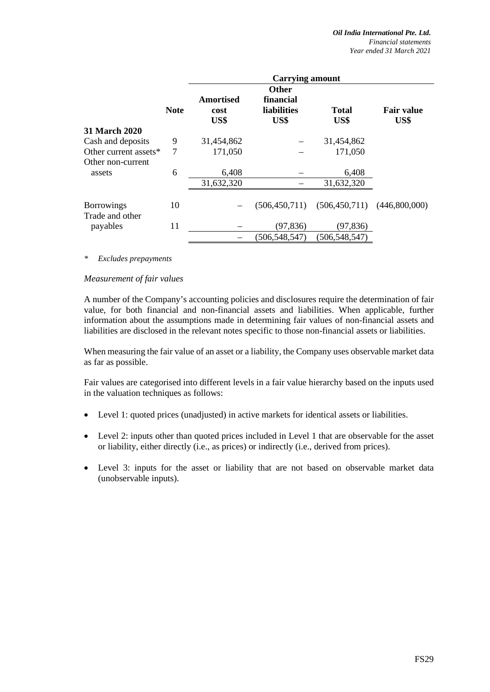|                                      |             | <b>Carrying amount</b>    |                                  |                      |                                     |
|--------------------------------------|-------------|---------------------------|----------------------------------|----------------------|-------------------------------------|
|                                      |             |                           | <b>Other</b>                     |                      |                                     |
|                                      | <b>Note</b> | Amortised<br>cost<br>US\$ | financial<br>liabilities<br>US\$ | <b>Total</b><br>US\$ | <b>Fair value</b><br>US\$           |
| <b>31 March 2020</b>                 |             |                           |                                  |                      |                                     |
| Cash and deposits                    | 9           | 31,454,862                |                                  | 31,454,862           |                                     |
| Other current assets*                | 7           | 171,050                   |                                  | 171,050              |                                     |
| Other non-current                    |             |                           |                                  |                      |                                     |
| assets                               | 6           | 6,408                     |                                  | 6,408                |                                     |
|                                      |             | 31,632,320                |                                  | 31,632,320           |                                     |
| <b>Borrowings</b><br>Trade and other | 10          |                           | (506, 450, 711)                  |                      | $(506, 450, 711)$ $(446, 800, 000)$ |
| payables                             | 11          |                           | (97, 836)                        | (97, 836)            |                                     |
|                                      |             |                           | (506, 548, 547)                  | (506, 548, 547)      |                                     |

*\* Excludes prepayments*

#### *Measurement of fair values*

A number of the Company's accounting policies and disclosures require the determination of fair value, for both financial and non-financial assets and liabilities. When applicable, further information about the assumptions made in determining fair values of non-financial assets and liabilities are disclosed in the relevant notes specific to those non-financial assets or liabilities.

When measuring the fair value of an asset or a liability, the Company uses observable market data as far as possible.

Fair values are categorised into different levels in a fair value hierarchy based on the inputs used in the valuation techniques as follows:

- Level 1: quoted prices (unadjusted) in active markets for identical assets or liabilities.
- Level 2: inputs other than quoted prices included in Level 1 that are observable for the asset or liability, either directly (i.e., as prices) or indirectly (i.e., derived from prices).
- Level 3: inputs for the asset or liability that are not based on observable market data (unobservable inputs).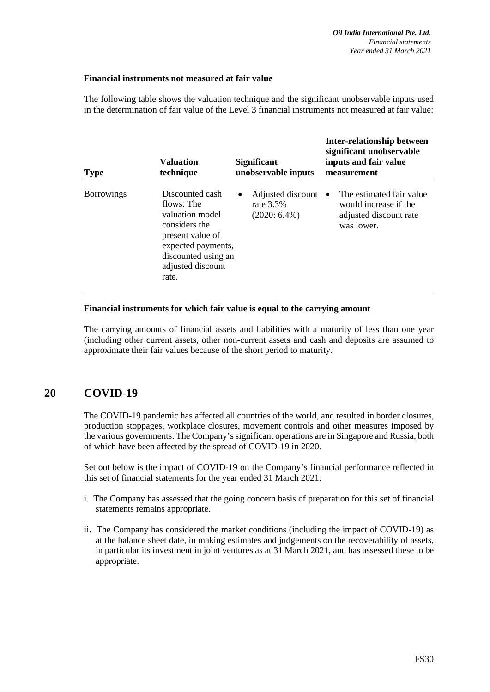#### **Financial instruments not measured at fair value**

The following table shows the valuation technique and the significant unobservable inputs used in the determination of fair value of the Level 3 financial instruments not measured at fair value:

| <b>Type</b>       | <b>Valuation</b><br>technique                                                                                                                                    | <b>Significant</b><br>unobservable inputs                      | <b>Inter-relationship between</b><br>significant unobservable<br>inputs and fair value<br>measurement  |
|-------------------|------------------------------------------------------------------------------------------------------------------------------------------------------------------|----------------------------------------------------------------|--------------------------------------------------------------------------------------------------------|
| <b>Borrowings</b> | Discounted cash<br>flows: The<br>valuation model<br>considers the<br>present value of<br>expected payments,<br>discounted using an<br>adjusted discount<br>rate. | Adjusted discount<br>$\bullet$<br>rate 3.3%<br>$(2020: 6.4\%)$ | The estimated fair value<br>$\bullet$<br>would increase if the<br>adjusted discount rate<br>was lower. |

#### **Financial instruments for which fair value is equal to the carrying amount**

The carrying amounts of financial assets and liabilities with a maturity of less than one year (including other current assets, other non-current assets and cash and deposits are assumed to approximate their fair values because of the short period to maturity.

# **20 COVID-19**

The COVID-19 pandemic has affected all countries of the world, and resulted in border closures, production stoppages, workplace closures, movement controls and other measures imposed by the various governments. The Company's significant operations are in Singapore and Russia, both of which have been affected by the spread of COVID-19 in 2020.

Set out below is the impact of COVID-19 on the Company's financial performance reflected in this set of financial statements for the year ended 31 March 2021:

- i. The Company has assessed that the going concern basis of preparation for this set of financial statements remains appropriate.
- ii. The Company has considered the market conditions (including the impact of COVID-19) as at the balance sheet date, in making estimates and judgements on the recoverability of assets, in particular its investment in joint ventures as at 31 March 2021, and has assessed these to be appropriate.